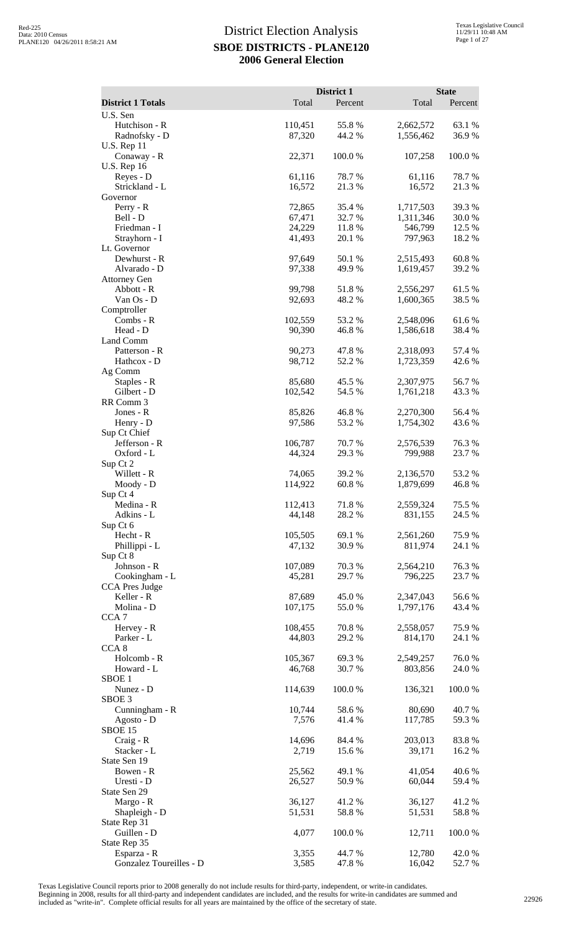|                                                   |                   | District 1       |                        | <b>State</b>     |
|---------------------------------------------------|-------------------|------------------|------------------------|------------------|
| <b>District 1 Totals</b>                          | Total             | Percent          | Total                  | Percent          |
| U.S. Sen<br>Hutchison - R<br>Radnofsky - D        | 110,451<br>87,320 | 55.8%<br>44.2%   | 2,662,572<br>1,556,462 | 63.1 %<br>36.9%  |
| <b>U.S. Rep 11</b><br>Conaway - R                 | 22,371            | 100.0%           | 107,258                | 100.0%           |
| <b>U.S. Rep 16</b><br>Reyes - D                   | 61,116            | 78.7%            | 61,116                 | 78.7%            |
| Strickland - L<br>Governor                        | 16,572            | 21.3%            | 16,572                 | 21.3%            |
| Perry - R<br>Bell - D                             | 72,865<br>67,471  | 35.4 %<br>32.7 % | 1,717,503<br>1,311,346 | 39.3%<br>30.0%   |
| Friedman - I<br>Strayhorn - I                     | 24,229<br>41,493  | 11.8 %<br>20.1 % | 546,799<br>797,963     | 12.5 %<br>18.2%  |
| Lt. Governor<br>Dewhurst - R                      | 97,649            | 50.1 %<br>49.9%  | 2,515,493              | 60.8%            |
| Alvarado - D<br><b>Attorney Gen</b><br>Abbott - R | 97,338<br>99,798  | 51.8%            | 1,619,457              | 39.2 %<br>61.5%  |
| Van Os - D                                        | 92,693            | 48.2%            | 2,556,297<br>1,600,365 | 38.5 %           |
| Comptroller<br>Combs - R<br>Head - D              | 102,559           | 53.2 %<br>46.8%  | 2,548,096              | 61.6%            |
| Land Comm                                         | 90,390            | 47.8%            | 1,586,618              | 38.4 %<br>57.4 % |
| Patterson - R<br>Hathcox - D<br>Ag Comm           | 90,273<br>98,712  | 52.2 %           | 2,318,093<br>1,723,359 | 42.6 %           |
| Staples - R<br>Gilbert - D                        | 85,680<br>102,542 | 45.5 %<br>54.5 % | 2,307,975<br>1,761,218 | 56.7%<br>43.3 %  |
| RR Comm 3<br>Jones - R                            | 85,826            | 46.8%            | 2,270,300              | 56.4 %           |
| Henry - D<br>Sup Ct Chief                         | 97,586            | 53.2 %           | 1,754,302              | 43.6 %           |
| Jefferson - R<br>Oxford - L                       | 106,787<br>44,324 | 70.7%<br>29.3 %  | 2,576,539<br>799,988   | 76.3%<br>23.7 %  |
| Sup Ct 2<br>Willett - R                           | 74,065            | 39.2 %           | 2,136,570              | 53.2%            |
| Moody - D<br>Sup Ct 4                             | 114,922           | 60.8%            | 1,879,699              | 46.8%            |
| Medina - R<br>Adkins - L                          | 112,413<br>44,148 | 71.8%<br>28.2 %  | 2,559,324<br>831,155   | 75.5 %<br>24.5 % |
| Sup Ct 6<br>Hecht - R<br>Phillippi - L            | 105,505<br>47,132 | 69.1 %<br>30.9%  | 2,561,260<br>811,974   | 75.9%<br>24.1 %  |
| Sup Ct 8<br>Johnson - R                           | 107,089           | 70.3 %           | 2,564,210              | 76.3%            |
| Cookingham - L<br><b>CCA Pres Judge</b>           | 45,281            | 29.7 %           | 796,225                | 23.7 %           |
| Keller - R<br>Molina - D                          | 87,689<br>107,175 | 45.0%<br>55.0 %  | 2,347,043<br>1,797,176 | 56.6%<br>43.4 %  |
| CCA <sub>7</sub><br>Hervey - R                    | 108,455           | 70.8%            | 2,558,057              | 75.9%            |
| Parker - L<br>CCA <sub>8</sub>                    | 44,803            | 29.2 %           | 814,170                | 24.1 %           |
| Holcomb - R<br>Howard - L                         | 105,367<br>46,768 | 69.3%<br>30.7%   | 2,549,257<br>803,856   | 76.0%<br>24.0%   |
| SBOE <sub>1</sub><br>Nunez - D                    | 114,639           | 100.0%           | 136,321                | 100.0%           |
| SBOE <sub>3</sub><br>Cunningham - R               | 10,744            | 58.6%            | 80,690                 | 40.7%            |
| Agosto - D<br>SBOE 15<br>$Craig - R$              | 7,576<br>14,696   | 41.4%<br>84.4 %  | 117,785<br>203,013     | 59.3 %<br>83.8%  |
| Stacker - L<br>State Sen 19                       | 2,719             | 15.6 %           | 39,171                 | 16.2%            |
| Bowen - R<br>Uresti - D                           | 25,562<br>26,527  | 49.1 %<br>50.9%  | 41,054<br>60,044       | 40.6%<br>59.4 %  |
| State Sen 29<br>Margo - R                         | 36,127            | 41.2%            | 36,127                 | 41.2%            |
| Shapleigh - D<br>State Rep 31                     | 51,531            | 58.8%            | 51,531                 | 58.8%            |
| Guillen - D<br>State Rep 35                       | 4,077             | 100.0%           | 12,711                 | 100.0%           |
| Esparza - R<br>Gonzalez Toureilles - D            | 3,355<br>3,585    | 44.7 %<br>47.8%  | 12,780<br>16,042       | 42.0%<br>52.7%   |

Texas Legislative Council reports prior to 2008 generally do not include results for third-party, independent, or write-in candidates.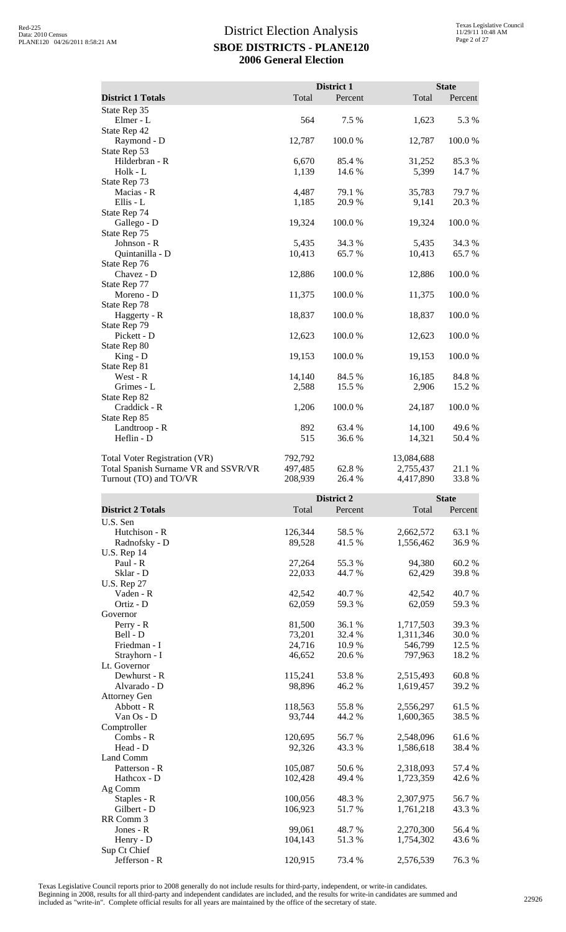|                                      |         | District 1 |            | <b>State</b> |
|--------------------------------------|---------|------------|------------|--------------|
| <b>District 1 Totals</b>             | Total   | Percent    | Total      | Percent      |
| State Rep 35                         |         |            |            |              |
| Elmer - L                            | 564     | 7.5 %      | 1,623      | 5.3 %        |
| State Rep 42                         |         |            |            |              |
| Raymond - D                          | 12,787  | 100.0%     | 12,787     | 100.0%       |
| State Rep 53                         |         |            |            |              |
| Hilderbran - R                       | 6,670   | 85.4 %     | 31,252     | 85.3%        |
| Holk - L                             | 1,139   | 14.6 %     | 5,399      | 14.7 %       |
| State Rep 73                         |         |            |            |              |
| Macias - R                           | 4,487   | 79.1 %     | 35,783     | 79.7 %       |
| Ellis - L                            | 1,185   | 20.9%      | 9,141      | 20.3 %       |
| State Rep 74                         |         |            |            |              |
| Gallego - D                          | 19,324  | 100.0%     | 19,324     | 100.0%       |
| State Rep 75                         |         |            |            |              |
| Johnson - R                          | 5,435   | 34.3 %     | 5,435      | 34.3 %       |
| Quintanilla - D                      | 10,413  | 65.7%      | 10,413     | 65.7%        |
| State Rep 76                         |         |            |            |              |
| Chavez - D                           | 12,886  | 100.0%     | 12,886     | 100.0%       |
| State Rep 77                         |         |            |            |              |
| Moreno - D                           | 11,375  | 100.0%     | 11,375     | 100.0%       |
| State Rep 78                         |         |            |            |              |
| Haggerty - R                         | 18,837  | 100.0%     | 18,837     | 100.0%       |
| State Rep 79                         |         |            |            |              |
| Pickett - D                          | 12,623  | 100.0%     | 12,623     | 100.0%       |
| State Rep 80                         |         |            |            |              |
| $King - D$                           | 19,153  | 100.0%     | 19,153     | 100.0%       |
| State Rep 81                         |         |            |            |              |
| West - R                             | 14,140  | 84.5 %     | 16,185     | 84.8 %       |
| Grimes - L                           | 2,588   | 15.5 %     | 2,906      | 15.2 %       |
| State Rep 82                         |         |            |            |              |
| Craddick - R                         | 1,206   | 100.0%     | 24,187     | 100.0%       |
| State Rep 85                         |         |            |            |              |
| Landtroop - R                        | 892     | 63.4%      | 14,100     | 49.6%        |
| Heflin - D                           | 515     | 36.6 %     | 14,321     | 50.4 %       |
| Total Voter Registration (VR)        | 792,792 |            | 13,084,688 |              |
| Total Spanish Surname VR and SSVR/VR | 497,485 | 62.8%      | 2,755,437  | 21.1 %       |
| Turnout (TO) and TO/VR               | 208,939 | 26.4 %     | 4,417,890  | 33.8%        |

|                          |         | District 2 |           | <b>State</b> |
|--------------------------|---------|------------|-----------|--------------|
| <b>District 2 Totals</b> | Total   | Percent    | Total     | Percent      |
| U.S. Sen                 |         |            |           |              |
| Hutchison - R            | 126,344 | 58.5%      | 2,662,572 | 63.1 %       |
| Radnofsky - D            | 89,528  | 41.5 %     | 1,556,462 | 36.9%        |
| <b>U.S. Rep 14</b>       |         |            |           |              |
| Paul - R                 | 27,264  | 55.3%      | 94,380    | 60.2%        |
| Sklar - D                | 22,033  | 44.7%      | 62,429    | 39.8%        |
| <b>U.S. Rep 27</b>       |         |            |           |              |
| Vaden - R                | 42,542  | 40.7%      | 42,542    | 40.7%        |
| Ortiz - D                | 62,059  | 59.3%      | 62,059    | 59.3%        |
| Governor                 |         |            |           |              |
| $Perry - R$              | 81,500  | 36.1 %     | 1,717,503 | 39.3%        |
| Bell - D                 | 73,201  | 32.4 %     | 1,311,346 | 30.0%        |
| Friedman - I             | 24,716  | 10.9 %     | 546,799   | 12.5 %       |
| Strayhorn - I            | 46,652  | 20.6%      | 797,963   | 18.2%        |
| Lt. Governor             |         |            |           |              |
| Dewhurst - R             | 115,241 | 53.8%      | 2,515,493 | 60.8%        |
| Alvarado - D             | 98,896  | 46.2%      | 1,619,457 | 39.2 %       |
| <b>Attorney Gen</b>      |         |            |           |              |
| Abbott - R               | 118,563 | 55.8%      | 2,556,297 | 61.5 %       |
| Van Os - D               | 93,744  | 44.2 %     | 1,600,365 | 38.5 %       |
| Comptroller              |         |            |           |              |
| $Combs - R$              | 120,695 | 56.7%      | 2,548,096 | 61.6%        |
| Head - D                 | 92,326  | 43.3 %     | 1,586,618 | 38.4 %       |
| Land Comm                |         |            |           |              |
| Patterson - R            | 105,087 | 50.6 %     | 2,318,093 | 57.4 %       |
| Hathcox - D              | 102,428 | 49.4 %     | 1,723,359 | 42.6 %       |
| Ag Comm                  |         |            |           |              |
| Staples - R              | 100,056 | 48.3%      | 2,307,975 | 56.7%        |
| Gilbert - D              | 106,923 | 51.7%      | 1,761,218 | 43.3 %       |
| RR Comm 3                |         |            |           |              |
| Jones - $R$              | 99,061  | 48.7 %     | 2,270,300 | 56.4 %       |
| Henry - D                | 104,143 | 51.3%      | 1,754,302 | 43.6%        |
| Sup Ct Chief             |         |            |           |              |
| Jefferson - R            | 120,915 | 73.4 %     | 2,576,539 | 76.3%        |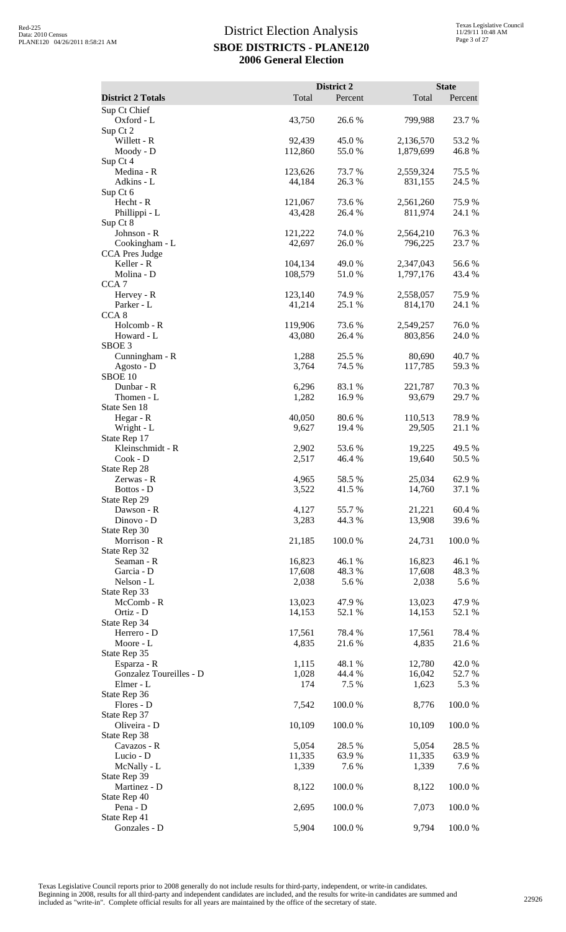|                                     |                   | District 2       |                      | <b>State</b>     |
|-------------------------------------|-------------------|------------------|----------------------|------------------|
| <b>District 2 Totals</b>            | Total             | Percent          | Total                | Percent          |
| Sup Ct Chief<br>Oxford - L          | 43,750            | 26.6 %           | 799,988              | 23.7 %           |
| Sup Ct 2                            |                   |                  |                      |                  |
| Willett - R                         | 92,439            | 45.0%            | 2,136,570            | 53.2%            |
| Moody - D                           | 112,860           | 55.0 %           | 1,879,699            | 46.8%            |
| Sup Ct 4<br>Medina - R              | 123,626           | 73.7 %           | 2,559,324            | 75.5 %           |
| Adkins - L                          | 44,184            | 26.3 %           | 831,155              | 24.5 %           |
| Sup Ct 6                            |                   |                  |                      |                  |
| Hecht - R<br>Phillippi - L          | 121,067<br>43,428 | 73.6 %<br>26.4 % | 2,561,260<br>811,974 | 75.9%<br>24.1 %  |
| Sup Ct 8                            |                   |                  |                      |                  |
| Johnson - R                         | 121,222           | 74.0 %           | 2,564,210            | 76.3%            |
| Cookingham - L                      | 42,697            | 26.0%            | 796,225              | 23.7 %           |
| CCA Pres Judge<br>Keller - R        | 104,134           | 49.0 %           | 2,347,043            | 56.6 %           |
| Molina - D                          | 108,579           | 51.0%            | 1,797,176            | 43.4 %           |
| CCA <sub>7</sub>                    |                   |                  |                      |                  |
| Hervey - R<br>Parker - L            | 123,140<br>41,214 | 74.9 %<br>25.1 % | 2,558,057<br>814,170 | 75.9%<br>24.1 %  |
| CCA <sub>8</sub>                    |                   |                  |                      |                  |
| Holcomb - R                         | 119,906           | 73.6 %           | 2,549,257            | 76.0%            |
| Howard - L                          | 43,080            | 26.4 %           | 803,856              | 24.0 %           |
| SBOE <sub>3</sub><br>Cunningham - R | 1,288             | 25.5 %           | 80,690               | 40.7 %           |
| Agosto - D                          | 3,764             | 74.5 %           | 117,785              | 59.3 %           |
| SBOE 10                             |                   |                  |                      |                  |
| Dunbar - R                          | 6,296             | 83.1 %           | 221,787              | 70.3%            |
| Thomen - L<br>State Sen 18          | 1,282             | 16.9 %           | 93,679               | 29.7 %           |
| Hegar - R                           | 40,050            | 80.6 %           | 110,513              | 78.9%            |
| Wright - L                          | 9,627             | 19.4 %           | 29,505               | 21.1 %           |
| State Rep 17                        |                   |                  |                      |                  |
| Kleinschmidt - R<br>Cook - D        | 2,902<br>2,517    | 53.6%<br>46.4 %  | 19,225<br>19,640     | 49.5 %<br>50.5 % |
| State Rep 28                        |                   |                  |                      |                  |
| Zerwas - R                          | 4,965             | 58.5 %           | 25,034               | 62.9%            |
| Bottos - D                          | 3,522             | 41.5 %           | 14,760               | 37.1 %           |
| State Rep 29<br>Dawson - R          | 4,127             | 55.7%            | 21,221               | 60.4%            |
| Dinovo - D                          | 3,283             | 44.3 %           | 13,908               | 39.6%            |
| State Rep 30                        |                   |                  |                      |                  |
| Morrison - R                        | 21,185            | 100.0%           | 24,731               | 100.0%           |
| State Rep 32<br>Seaman - R          | 16,823            | 46.1 %           | 16,823               | 46.1%            |
| Garcia - D                          | 17,608            | 48.3%            | 17,608               | 48.3%            |
| Nelson - L                          | 2,038             | 5.6 %            | 2,038                | 5.6 %            |
| State Rep 33<br>McComb - R          | 13,023            | 47.9%            | 13,023               | 47.9 %           |
| Ortiz - D                           | 14,153            | 52.1 %           | 14,153               | 52.1 %           |
| State Rep 34                        |                   |                  |                      |                  |
| Herrero - D                         | 17,561            | 78.4 %           | 17,561               | 78.4%            |
| Moore - L<br>State Rep 35           | 4,835             | 21.6 %           | 4,835                | 21.6 %           |
| Esparza - R                         | 1,115             | 48.1 %           | 12,780               | 42.0%            |
| Gonzalez Toureilles - D             | 1,028             | 44.4 %           | 16,042               | 52.7%            |
| Elmer - L                           | 174               | 7.5 %            | 1,623                | 5.3 %            |
| State Rep 36<br>Flores - D          | 7,542             | 100.0%           | 8,776                | 100.0%           |
| State Rep 37                        |                   |                  |                      |                  |
| Oliveira - D                        | 10,109            | 100.0%           | 10,109               | 100.0%           |
| State Rep 38                        |                   |                  |                      |                  |
| Cavazos - R                         | 5,054<br>11,335   | 28.5 %<br>63.9%  | 5,054<br>11,335      | 28.5 %<br>63.9%  |
| Lucio - D<br>McNally - L            | 1,339             | 7.6%             | 1,339                | 7.6%             |
| State Rep 39                        |                   |                  |                      |                  |
| Martinez - D                        | 8,122             | 100.0%           | 8,122                | 100.0%           |
| State Rep 40<br>Pena - D            | 2,695             | 100.0%           | 7,073                | 100.0%           |
| State Rep 41                        |                   |                  |                      |                  |
| Gonzales - D                        | 5,904             | 100.0%           | 9,794                | 100.0%           |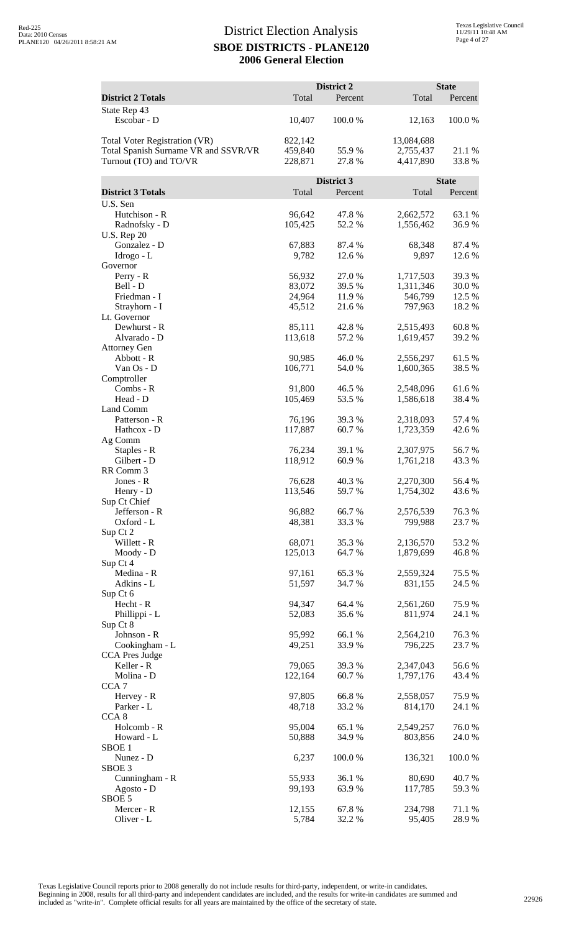|                                      |                  | District 2            |                   | <b>State</b>   |
|--------------------------------------|------------------|-----------------------|-------------------|----------------|
| <b>District 2 Totals</b>             | Total            | Percent               | Total             | Percent        |
| State Rep 43<br>Escobar - D          | 10,407           | 100.0%                | 12,163            | 100.0%         |
| <b>Total Voter Registration (VR)</b> | 822,142          |                       | 13,084,688        |                |
| Total Spanish Surname VR and SSVR/VR | 459,840          | 55.9%                 | 2,755,437         | 21.1 %         |
| Turnout (TO) and TO/VR               | 228,871          | 27.8 %                | 4,417,890         | 33.8%          |
|                                      |                  |                       |                   |                |
| <b>District 3 Totals</b>             | Total            | District 3<br>Percent | Total             | <b>State</b>   |
| U.S. Sen                             |                  |                       |                   | Percent        |
| Hutchison - R                        | 96,642           | 47.8%                 | 2,662,572         | 63.1 %         |
| Radnofsky - D                        | 105,425          | 52.2 %                | 1,556,462         | 36.9%          |
| <b>U.S. Rep 20</b>                   |                  |                       |                   |                |
| Gonzalez - D                         | 67,883           | 87.4 %                | 68,348            | 87.4 %         |
| Idrogo - L                           | 9,782            | 12.6 %                | 9,897             | 12.6 %         |
| Governor<br>Perry - R                | 56,932           | 27.0%                 | 1,717,503         | 39.3 %         |
| Bell - D                             | 83,072           | 39.5 %                | 1,311,346         | 30.0 %         |
| Friedman - I                         | 24,964           | 11.9%                 | 546,799           | 12.5 %         |
| Strayhorn - I                        | 45,512           | 21.6%                 | 797,963           | 18.2 %         |
| Lt. Governor                         |                  |                       |                   |                |
| Dewhurst - R                         | 85,111           | 42.8%                 | 2,515,493         | 60.8%          |
| Alvarado - D<br><b>Attorney Gen</b>  | 113,618          | 57.2 %                | 1,619,457         | 39.2 %         |
| Abbott - R                           | 90,985           | 46.0%                 | 2,556,297         | 61.5%          |
| Van Os - D                           | 106,771          | 54.0%                 | 1,600,365         | 38.5 %         |
| Comptroller                          |                  |                       |                   |                |
| Combs - R                            | 91,800           | 46.5 %                | 2,548,096         | 61.6%          |
| Head - D<br>Land Comm                | 105,469          | 53.5 %                | 1,586,618         | 38.4 %         |
| Patterson - R                        | 76,196           | 39.3 %                | 2,318,093         | 57.4 %         |
| Hathcox - D                          | 117,887          | 60.7 %                | 1,723,359         | 42.6 %         |
| Ag Comm                              |                  |                       |                   |                |
| Staples - R                          | 76,234           | 39.1 %                | 2,307,975         | 56.7%          |
| Gilbert - D                          | 118,912          | 60.9 %                | 1,761,218         | 43.3 %         |
| RR Comm 3<br>Jones - R               | 76,628           | 40.3 %                | 2,270,300         | 56.4 %         |
| Henry - D                            | 113,546          | 59.7%                 | 1,754,302         | 43.6%          |
| Sup Ct Chief                         |                  |                       |                   |                |
| Jefferson - R                        | 96,882           | 66.7%                 | 2,576,539         | 76.3%          |
| Oxford - L                           | 48,381           | 33.3 %                | 799,988           | 23.7 %         |
| Sup Ct 2<br>Willett - R              | 68,071           | 35.3 %                | 2,136,570         | 53.2 %         |
| Moody - D                            | 125,013          | 64.7 %                | 1,879,699         | 46.8%          |
| Sup Ct 4                             |                  |                       |                   |                |
| Medina - R                           | 97,161           | 65.3%                 | 2,559,324         | 75.5 %         |
| Adkins - L                           | 51,597           | 34.7 %                | 831,155           | 24.5 %         |
| Sup Ct 6<br>Hecht - R                | 94,347           | 64.4 %                | 2,561,260         | 75.9%          |
| Phillippi - L                        | 52,083           | 35.6%                 | 811,974           | 24.1 %         |
| Sup Ct 8                             |                  |                       |                   |                |
| Johnson - R                          | 95,992           | 66.1%                 | 2,564,210         | 76.3%          |
| Cookingham - L                       | 49,251           | 33.9%                 | 796,225           | 23.7 %         |
| CCA Pres Judge<br>Keller - R         | 79,065           | 39.3 %                | 2,347,043         | 56.6%          |
| Molina - D                           | 122,164          | 60.7%                 | 1,797,176         | 43.4 %         |
| CCA <sub>7</sub>                     |                  |                       |                   |                |
| Hervey - R                           | 97,805           | 66.8%                 | 2,558,057         | 75.9%          |
| Parker - L                           | 48,718           | 33.2 %                | 814,170           | 24.1 %         |
| CCA <sub>8</sub><br>Holcomb - R      | 95,004           | 65.1 %                | 2,549,257         | 76.0%          |
| Howard - L                           | 50,888           | 34.9%                 | 803,856           | 24.0 %         |
| SBOE <sub>1</sub>                    |                  |                       |                   |                |
| Nunez - D                            | 6,237            | 100.0%                | 136,321           | 100.0%         |
| SBOE <sub>3</sub>                    |                  |                       |                   |                |
| Cunningham - R<br>Agosto - D         | 55,933<br>99,193 | 36.1 %<br>63.9%       | 80,690<br>117,785 | 40.7%<br>59.3% |
| SBOE 5                               |                  |                       |                   |                |
| Mercer - R                           | 12,155           | 67.8%                 | 234,798           | 71.1 %         |
| Oliver - L                           | 5,784            | 32.2 %                | 95,405            | 28.9%          |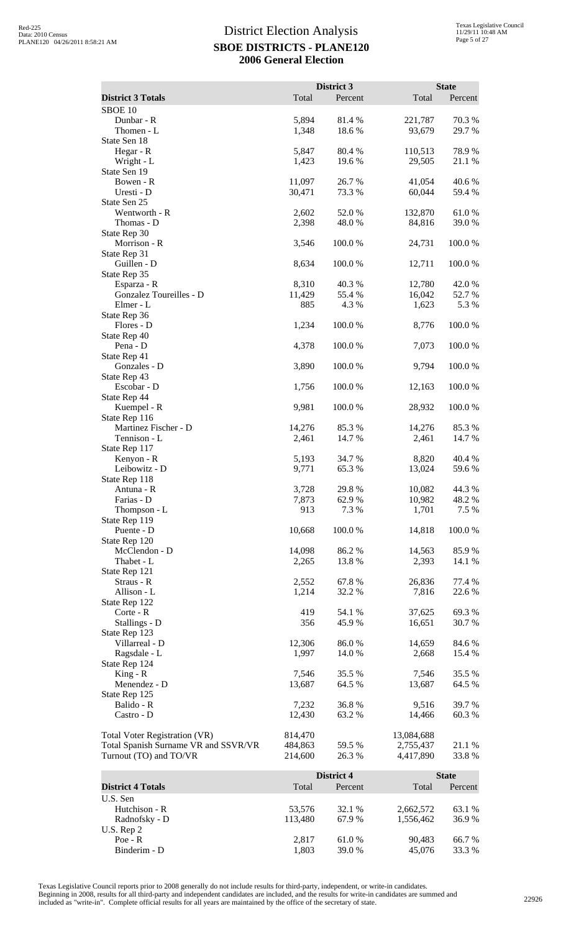|                                      |                 |                       |                 | <b>State</b>     |
|--------------------------------------|-----------------|-----------------------|-----------------|------------------|
| <b>District 3 Totals</b>             | Total           | District 3<br>Percent | Total           | Percent          |
| SBOE <sub>10</sub>                   |                 |                       |                 |                  |
| Dunbar - R                           | 5,894           | 81.4%                 | 221,787         | 70.3%            |
| Thomen - L                           | 1,348           | 18.6%                 | 93,679          | 29.7 %           |
| State Sen 18                         |                 |                       |                 |                  |
| Hegar - R                            | 5,847           | 80.4%                 | 110,513         | 78.9%            |
| Wright - L                           | 1,423           | 19.6 %                | 29,505          | 21.1 %           |
| State Sen 19<br>Bowen - R            | 11,097          | 26.7%                 | 41,054          | 40.6%            |
| Uresti - D                           | 30,471          | 73.3 %                | 60,044          | 59.4 %           |
| State Sen 25                         |                 |                       |                 |                  |
| Wentworth - R                        | 2,602           | 52.0 %                | 132,870         | 61.0%            |
| Thomas - D                           | 2,398           | 48.0%                 | 84,816          | 39.0%            |
| State Rep 30                         |                 |                       |                 |                  |
| Morrison - R                         | 3,546           | 100.0%                | 24,731          | 100.0%           |
| State Rep 31<br>Guillen - D          |                 | 100.0%                | 12,711          | 100.0%           |
| State Rep 35                         | 8,634           |                       |                 |                  |
| Esparza - R                          | 8,310           | 40.3%                 | 12,780          | 42.0%            |
| Gonzalez Toureilles - D              | 11,429          | 55.4 %                | 16,042          | 52.7 %           |
| Elmer - L                            | 885             | 4.3 %                 | 1,623           | 5.3 %            |
| State Rep 36                         |                 |                       |                 |                  |
| Flores - D                           | 1,234           | 100.0%                | 8,776           | 100.0%           |
| State Rep 40                         |                 |                       |                 |                  |
| Pena - D<br>State Rep 41             | 4,378           | 100.0%                | 7,073           | 100.0%           |
| Gonzales - D                         | 3,890           | 100.0 %               | 9,794           | 100.0%           |
| State Rep 43                         |                 |                       |                 |                  |
| Escobar - D                          | 1,756           | 100.0%                | 12,163          | 100.0%           |
| State Rep 44                         |                 |                       |                 |                  |
| Kuempel - R                          | 9,981           | 100.0%                | 28,932          | 100.0%           |
| State Rep 116                        |                 |                       |                 |                  |
| Martinez Fischer - D<br>Tennison - L | 14,276<br>2,461 | 85.3%<br>14.7 %       | 14,276<br>2,461 | 85.3%<br>14.7 %  |
| State Rep 117                        |                 |                       |                 |                  |
| Kenyon - R                           | 5,193           | 34.7 %                | 8,820           | 40.4 %           |
| Leibowitz - D                        | 9,771           | 65.3%                 | 13,024          | 59.6%            |
| State Rep 118                        |                 |                       |                 |                  |
| Antuna - R                           | 3,728           | 29.8 %                | 10,082          | 44.3 %           |
| Farias - D                           | 7,873           | 62.9%                 | 10,982          | 48.2%            |
| Thompson - L<br>State Rep 119        | 913             | 7.3 %                 | 1,701           | 7.5 %            |
| Puente - D                           | 10,668          | 100.0%                | 14,818          | 100.0%           |
| State Rep 120                        |                 |                       |                 |                  |
| McClendon - D                        | 14,098          | 86.2%                 | 14,563          | 85.9%            |
| Thabet - L                           | 2,265           | 13.8 %                | 2,393           | 14.1 %           |
| State Rep 121                        |                 |                       |                 |                  |
| Straus - R<br>Allison - L            | 2,552           | 67.8%<br>32.2 %       | 26,836<br>7,816 | 77.4 %           |
| State Rep 122                        | 1,214           |                       |                 | 22.6 %           |
| Corte - R                            | 419             | 54.1 %                | 37,625          | 69.3%            |
| Stallings - D                        | 356             | 45.9%                 | 16,651          | 30.7%            |
| State Rep 123                        |                 |                       |                 |                  |
| Villarreal - D                       | 12,306          | 86.0%                 | 14,659          | 84.6 %           |
| Ragsdale - L                         | 1,997           | 14.0 %                | 2,668           | 15.4 %           |
| State Rep 124                        |                 |                       |                 |                  |
| $King - R$<br>Menendez - D           | 7,546<br>13,687 | 35.5 %<br>64.5 %      | 7,546<br>13,687 | 35.5 %<br>64.5 % |
| State Rep 125                        |                 |                       |                 |                  |
| Balido - R                           | 7,232           | 36.8%                 | 9,516           | 39.7%            |
| Castro - D                           | 12,430          | 63.2%                 | 14,466          | 60.3%            |
|                                      |                 |                       |                 |                  |
| <b>Total Voter Registration (VR)</b> | 814,470         |                       | 13,084,688      |                  |
| Total Spanish Surname VR and SSVR/VR | 484,863         | 59.5 %                | 2,755,437       | 21.1 %           |
| Turnout (TO) and TO/VR               | 214,600         | 26.3 %                | 4,417,890       | 33.8%            |
|                                      |                 | District 4            |                 | <b>State</b>     |
| <b>District 4 Totals</b>             | Total           | Percent               | Total           | Percent          |
| U.S. Sen                             |                 |                       |                 |                  |
| Hutchison - R                        | 53,576          | 32.1 %                | 2,662,572       | 63.1 %           |
| Radnofsky - D                        | 113,480         | 67.9%                 | 1,556,462       | 36.9%            |

Poe - R 2,817 61.0 % 90,483 66.7 % Binderim - D  $1,803$  39.0 % 45,076 33.3 %

U.S. Rep 2<br>Poe - R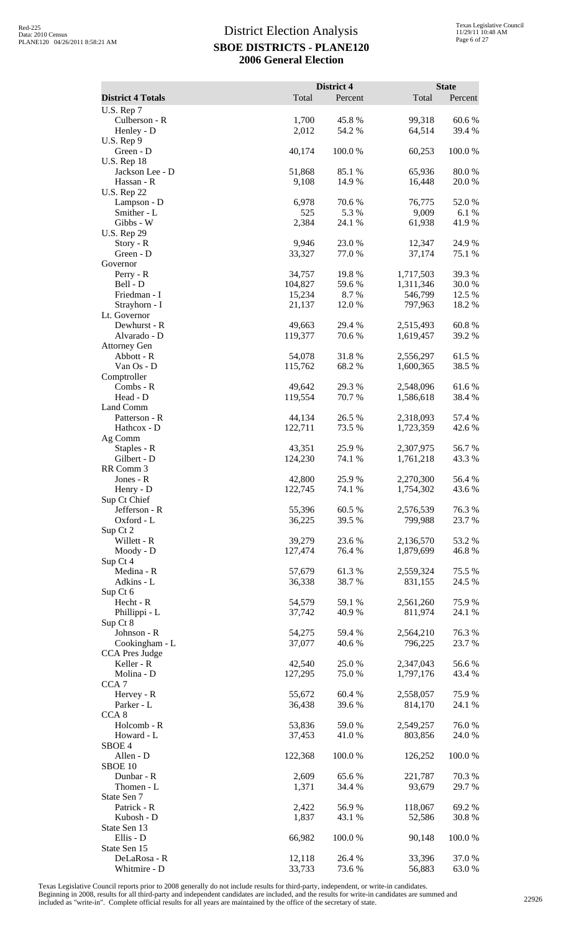|                                       |                   | District 4      |                        | <b>State</b>    |
|---------------------------------------|-------------------|-----------------|------------------------|-----------------|
| <b>District 4 Totals</b>              | Total             | Percent         | Total                  | Percent         |
| U.S. Rep 7<br>Culberson - R           | 1,700             | 45.8%           | 99,318                 | 60.6%           |
| Henley - D                            | 2,012             | 54.2 %          | 64,514                 | 39.4 %          |
| U.S. Rep 9                            |                   |                 |                        |                 |
| Green - D                             | 40,174            | 100.0%          | 60,253                 | 100.0%          |
| <b>U.S. Rep 18</b><br>Jackson Lee - D | 51,868            | 85.1 %          | 65,936                 | 80.0%           |
| Hassan - R                            | 9,108             | 14.9 %          | 16,448                 | 20.0%           |
| <b>U.S. Rep 22</b>                    |                   |                 |                        |                 |
| Lampson - D                           | 6,978<br>525      | 70.6%<br>5.3 %  | 76,775                 | 52.0%           |
| Smither - L<br>Gibbs - W              | 2,384             | 24.1 %          | 9,009<br>61,938        | 6.1 %<br>41.9 % |
| <b>U.S. Rep 29</b>                    |                   |                 |                        |                 |
| Story - R                             | 9,946             | 23.0%           | 12,347                 | 24.9%           |
| Green - D<br>Governor                 | 33,327            | 77.0%           | 37,174                 | 75.1 %          |
| Perry - R                             | 34,757            | 19.8%           | 1,717,503              | 39.3%           |
| Bell - D                              | 104,827           | 59.6%           | 1,311,346              | 30.0%           |
| Friedman - I                          | 15,234            | 8.7 %           | 546,799                | 12.5 %          |
| Strayhorn - I<br>Lt. Governor         | 21,137            | 12.0 %          | 797,963                | 18.2 %          |
| Dewhurst - R                          | 49,663            | 29.4 %          | 2,515,493              | 60.8%           |
| Alvarado - D                          | 119,377           | 70.6%           | 1,619,457              | 39.2 %          |
| <b>Attorney Gen</b>                   |                   |                 |                        |                 |
| Abbott - R<br>Van Os - D              | 54,078<br>115,762 | 31.8%<br>68.2%  | 2,556,297<br>1,600,365 | 61.5%<br>38.5 % |
| Comptroller                           |                   |                 |                        |                 |
| Combs - R                             | 49,642            | 29.3 %          | 2,548,096              | 61.6%           |
| Head - D                              | 119,554           | 70.7%           | 1,586,618              | 38.4 %          |
| Land Comm<br>Patterson - R            | 44,134            | 26.5 %          | 2,318,093              | 57.4 %          |
| Hathcox - D                           | 122,711           | 73.5 %          | 1,723,359              | 42.6 %          |
| Ag Comm                               |                   |                 |                        |                 |
| Staples - R                           | 43,351            | 25.9%           | 2,307,975              | 56.7%           |
| Gilbert - D<br>RR Comm 3              | 124,230           | 74.1 %          | 1,761,218              | 43.3 %          |
| Jones - R                             | 42,800            | 25.9%           | 2,270,300              | 56.4 %          |
| Henry - D                             | 122,745           | 74.1 %          | 1,754,302              | 43.6 %          |
| Sup Ct Chief<br>Jefferson - R         |                   | 60.5%           |                        |                 |
| Oxford - L                            | 55,396<br>36,225  | 39.5 %          | 2,576,539<br>799,988   | 76.3%<br>23.7 % |
| Sup Ct 2                              |                   |                 |                        |                 |
| Willett - R                           | 39,279            | 23.6 %          | 2,136,570              | 53.2 %          |
| Moody - D                             | 127,474           | 76.4 %          | 1,879,699              | 46.8%           |
| Sup Ct 4<br>Medina - R                | 57,679            | 61.3%           | 2,559,324              | 75.5 %          |
| Adkins - L                            | 36,338            | 38.7%           | 831,155                | 24.5 %          |
| Sup Ct 6                              |                   |                 |                        |                 |
| Hecht - R<br>Phillippi - L            | 54,579<br>37,742  | 59.1 %<br>40.9% | 2,561,260<br>811,974   | 75.9%<br>24.1 % |
| Sup Ct 8                              |                   |                 |                        |                 |
| Johnson - R                           | 54,275            | 59.4 %          | 2,564,210              | 76.3%           |
| Cookingham - L                        | 37,077            | 40.6%           | 796,225                | 23.7 %          |
| CCA Pres Judge<br>Keller - R          | 42,540            | 25.0%           | 2,347,043              | 56.6%           |
| Molina - D                            | 127,295           | 75.0%           | 1,797,176              | 43.4 %          |
| CCA <sub>7</sub>                      |                   |                 |                        |                 |
| Hervey - R                            | 55,672            | 60.4%           | 2,558,057              | 75.9%           |
| Parker - L<br>CCA <sub>8</sub>        | 36,438            | 39.6%           | 814,170                | 24.1 %          |
| Holcomb - R                           | 53,836            | 59.0%           | 2,549,257              | 76.0%           |
| Howard - L                            | 37,453            | 41.0 %          | 803,856                | 24.0%           |
| SBOE <sub>4</sub><br>Allen - D        |                   |                 |                        | 100.0%          |
| SBOE 10                               | 122,368           | 100.0%          | 126,252                |                 |
| Dunbar - R                            | 2,609             | 65.6%           | 221,787                | 70.3%           |
| Thomen - L                            | 1,371             | 34.4 %          | 93,679                 | 29.7 %          |
| State Sen 7<br>Patrick - R            | 2,422             | 56.9%           |                        | 69.2%           |
| Kubosh - D                            | 1,837             | 43.1 %          | 118,067<br>52,586      | 30.8%           |
| State Sen 13                          |                   |                 |                        |                 |
| Ellis - D                             | 66,982            | 100.0%          | 90,148                 | 100.0%          |
| State Sen 15<br>DeLaRosa - R          | 12,118            | 26.4 %          | 33,396                 | 37.0%           |
| Whitmire - D                          | 33,733            | 73.6 %          | 56,883                 | 63.0%           |

Texas Legislative Council reports prior to 2008 generally do not include results for third-party, independent, or write-in candidates.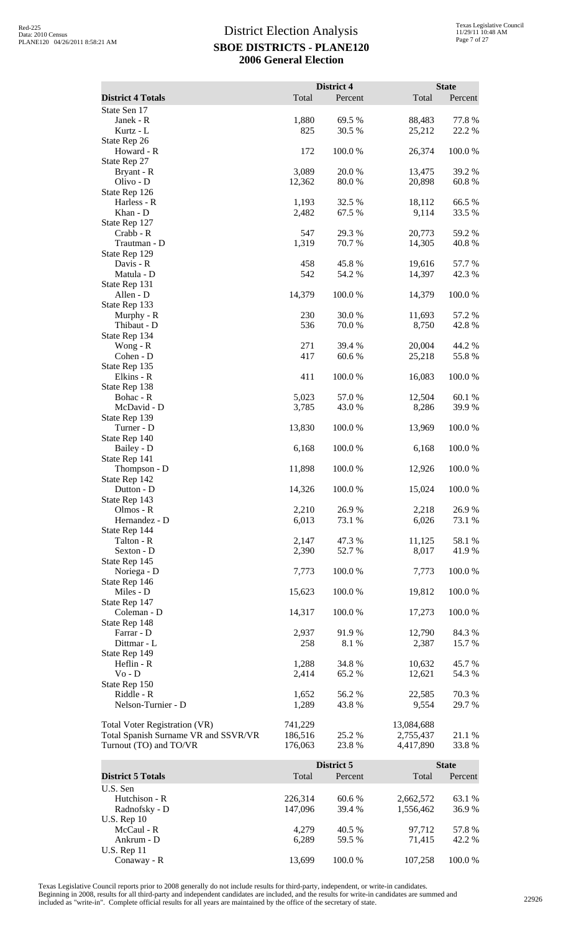|                                                                |                    | District 4       |                        | <b>State</b>     |
|----------------------------------------------------------------|--------------------|------------------|------------------------|------------------|
| <b>District 4 Totals</b>                                       | Total              | Percent          | Total                  | Percent          |
| State Sen 17<br>Janek - R                                      | 1,880              | 69.5 %           | 88,483                 | 77.8%            |
| Kurtz - L                                                      | 825                | 30.5 %           | 25,212                 | 22.2 %           |
| State Rep 26                                                   |                    |                  |                        |                  |
| Howard - R                                                     | 172                | 100.0%           | 26,374                 | 100.0%           |
| State Rep 27<br>Bryant - R                                     | 3,089              | 20.0%            | 13,475                 | 39.2 %           |
| Olivo - D                                                      | 12,362             | 80.0%            | 20,898                 | 60.8%            |
| State Rep 126                                                  |                    | 32.5 %           |                        |                  |
| Harless - R<br>Khan - D                                        | 1,193<br>2,482     | 67.5 %           | 18,112<br>9,114        | 66.5%<br>33.5 %  |
| State Rep 127                                                  |                    |                  |                        |                  |
| Crabb - R                                                      | 547                | 29.3 %           | 20,773                 | 59.2 %           |
| Trautman - D<br>State Rep 129                                  | 1,319              | 70.7%            | 14,305                 | 40.8%            |
| Davis - R                                                      | 458                | 45.8%            | 19,616                 | 57.7 %           |
| Matula - D                                                     | 542                | 54.2 %           | 14,397                 | 42.3 %           |
| State Rep 131<br>Allen - D                                     | 14,379             | 100.0%           | 14,379                 | 100.0%           |
| State Rep 133                                                  |                    |                  |                        |                  |
| Murphy - R                                                     | 230                | 30.0%            | 11,693                 | 57.2 %           |
| Thibaut - D<br>State Rep 134                                   | 536                | 70.0%            | 8,750                  | 42.8%            |
| Wong - $R$                                                     | 271                | 39.4 %           | 20,004                 | 44.2 %           |
| Cohen - D                                                      | 417                | 60.6%            | 25,218                 | 55.8%            |
| State Rep 135<br>Elkins - R                                    | 411                | 100.0%           | 16,083                 | 100.0%           |
| State Rep 138                                                  |                    |                  |                        |                  |
| Bohac - R                                                      | 5,023              | 57.0%            | 12,504                 | 60.1%            |
| McDavid - D<br>State Rep 139                                   | 3,785              | 43.0 %           | 8,286                  | 39.9%            |
| Turner - D                                                     | 13,830             | 100.0%           | 13,969                 | 100.0%           |
| State Rep 140                                                  |                    |                  |                        |                  |
| Bailey - D<br>State Rep 141                                    | 6,168              | 100.0%           | 6,168                  | 100.0%           |
| Thompson - D                                                   | 11,898             | 100.0 %          | 12,926                 | 100.0 %          |
| State Rep 142                                                  |                    |                  |                        |                  |
| Dutton - D<br>State Rep 143                                    | 14,326             | 100.0%           | 15,024                 | 100.0%           |
| Olmos - R                                                      | 2,210              | 26.9%            | 2,218                  | 26.9%            |
| Hernandez - D                                                  | 6,013              | 73.1 %           | 6,026                  | 73.1 %           |
| State Rep 144<br>Talton - R                                    | 2,147              | 47.3 %           | 11,125                 | 58.1 %           |
| Sexton - D                                                     | 2,390              | 52.7%            | 8,017                  | 41.9%            |
| State Rep 145                                                  |                    |                  |                        |                  |
| Noriega - D<br>State Rep 146                                   | 7,773              | 100.0%           | 7,773                  | 100.0 %          |
| Miles - D                                                      | 15,623             | 100.0%           | 19,812                 | 100.0%           |
| State Rep 147                                                  |                    |                  |                        |                  |
| Coleman - D<br>State Rep 148                                   | 14,317             | 100.0 %          | 17,273                 | 100.0%           |
| Farrar - D                                                     | 2,937              | 91.9 %           | 12,790                 | 84.3 %           |
| Dittmar - L                                                    | 258                | 8.1 %            | 2,387                  | 15.7 %           |
| State Rep 149<br>Heflin - R                                    | 1,288              | 34.8 %           | 10,632                 | 45.7 %           |
| Vo - D                                                         | 2,414              | 65.2%            | 12,621                 | 54.3 %           |
| State Rep 150                                                  |                    |                  |                        |                  |
| Riddle - R<br>Nelson-Turnier - D                               | 1,652<br>1,289     | 56.2 %<br>43.8 % | 22,585<br>9,554        | 70.3 %<br>29.7 % |
|                                                                |                    |                  |                        |                  |
| <b>Total Voter Registration (VR)</b>                           | 741,229            |                  | 13,084,688             |                  |
| Total Spanish Surname VR and SSVR/VR<br>Turnout (TO) and TO/VR | 186,516<br>176,063 | 25.2 %<br>23.8 % | 2,755,437<br>4,417,890 | 21.1 %<br>33.8%  |
|                                                                |                    |                  |                        |                  |
|                                                                |                    | District 5       |                        | <b>State</b>     |
| <b>District 5 Totals</b><br>U.S. Sen                           | Total              | Percent          | Total                  | Percent          |
| Hutchison - R                                                  | 226,314            | 60.6 %           | 2,662,572              | 63.1 %           |
| Radnofsky - D                                                  | 147,096            | 39.4 %           | 1,556,462              | 36.9%            |
| $U.S.$ Rep 10                                                  |                    |                  |                        |                  |

Texas Legislative Council reports prior to 2008 generally do not include results for third-party, independent, or write-in candidates.

 $\overline{\text{Ankrum}}$  -  $\overline{\text{D}}$ U.S. Rep 11

Beginning in 2008, results for all third-party and independent candidates are included, and the results for write-in candidates are summed and<br>included as "write-in". Complete official results for all years are maintained

McCaul - R<br>
Ankrum - D<br>
Ankrum - D<br>
Ankrum - D<br>
Ankrum - D<br>
Ankrum - C<br>
Ankrum - C<br>
Ankrum - C<br>
Ankrum - C<br>
Ankrum - C<br>
Ankrum - C<br>
Ankrum - C<br>
Ankrum - C<br>
Ankrum - C<br>
Ankrum - C<br>
Ankrum - C<br>
Ankrum - C<br>
Ankrum - C<br>
Ankrum

Conaway - R 13,699 100.0 % 107,258 100.0 %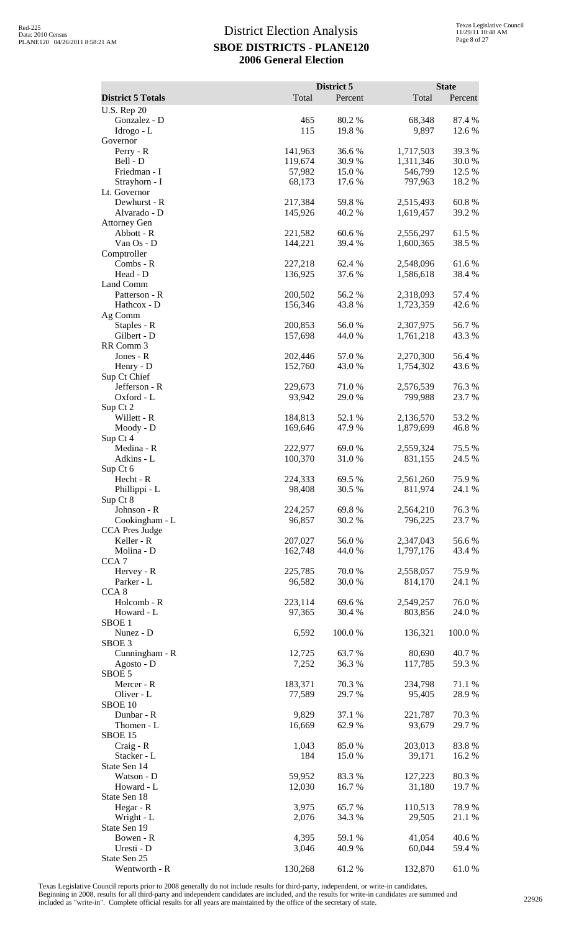|                                         |                    | District 5       |                        | <b>State</b>    |
|-----------------------------------------|--------------------|------------------|------------------------|-----------------|
| <b>District 5 Totals</b>                | Total              | Percent          | Total                  | Percent         |
| <b>U.S. Rep 20</b><br>Gonzalez - D      |                    | 80.2%            | 68,348                 | 87.4 %          |
| Idrogo - L                              | 465<br>115         | 19.8%            | 9,897                  | 12.6 %          |
| Governor                                |                    |                  |                        |                 |
| Perry - R                               | 141,963            | 36.6%            | 1,717,503              | 39.3%           |
| Bell - D<br>Friedman - I                | 119,674<br>57,982  | 30.9%<br>15.0%   | 1,311,346<br>546,799   | 30.0%<br>12.5 % |
| Strayhorn - I                           | 68,173             | 17.6 %           | 797,963                | 18.2 %          |
| Lt. Governor                            |                    |                  |                        |                 |
| Dewhurst - R<br>Alvarado - D            | 217,384<br>145,926 | 59.8%<br>40.2%   | 2,515,493<br>1,619,457 | 60.8%<br>39.2 % |
| <b>Attorney Gen</b>                     |                    |                  |                        |                 |
| Abbott - R                              | 221,582            | 60.6%            | 2,556,297              | 61.5 %          |
| Van Os - D<br>Comptroller               | 144,221            | 39.4 %           | 1,600,365              | 38.5 %          |
| $Combs - R$                             | 227,218            | 62.4 %           | 2,548,096              | 61.6 %          |
| Head - D                                | 136,925            | 37.6 %           | 1,586,618              | 38.4 %          |
| Land Comm                               | 200,502            |                  |                        | 57.4 %          |
| Patterson - R<br>Hathcox - D            | 156,346            | 56.2%<br>43.8%   | 2,318,093<br>1,723,359 | 42.6 %          |
| Ag Comm                                 |                    |                  |                        |                 |
| Staples - R                             | 200,853            | 56.0%            | 2,307,975              | 56.7%           |
| Gilbert - D<br>RR Comm 3                | 157,698            | 44.0%            | 1,761,218              | 43.3 %          |
| Jones - R                               | 202,446            | 57.0%            | 2,270,300              | 56.4 %          |
| Henry - D                               | 152,760            | 43.0 %           | 1,754,302              | 43.6 %          |
| Sup Ct Chief                            |                    |                  |                        |                 |
| Jefferson - R<br>Oxford - L             | 229,673<br>93,942  | 71.0%<br>29.0 %  | 2,576,539<br>799,988   | 76.3%<br>23.7 % |
| Sup Ct 2                                |                    |                  |                        |                 |
| Willett - R                             | 184,813            | 52.1 %           | 2,136,570              | 53.2 %          |
| Moody - D<br>Sup Ct 4                   | 169,646            | 47.9%            | 1,879,699              | 46.8%           |
| Medina - R                              | 222,977            | 69.0 %           | 2,559,324              | 75.5 %          |
| Adkins - L                              | 100,370            | 31.0%            | 831,155                | 24.5 %          |
| Sup Ct 6<br>Hecht - R                   | 224,333            | 69.5 %           | 2,561,260              | 75.9%           |
| Phillippi - L                           | 98,408             | 30.5 %           | 811,974                | 24.1 %          |
| Sup Ct 8                                |                    |                  |                        |                 |
| Johnson - R                             | 224,257            | 69.8%            | 2,564,210              | 76.3%           |
| Cookingham - L<br><b>CCA</b> Pres Judge | 96,857             | 30.2 %           | 796,225                | 23.7 %          |
| Keller - R                              | 207,027            | 56.0%            | 2,347,043              | 56.6%           |
| Molina - D                              | 162,748            | 44.0 %           | 1,797,176              | 43.4 %          |
| CCA <sub>7</sub><br>Hervey - R          | 225,785            | 70.0%            | 2,558,057              | 75.9%           |
| Parker - L                              | 96,582             | 30.0%            | 814,170                | 24.1 %          |
| CCA <sub>8</sub>                        |                    |                  |                        |                 |
| Holcomb - R<br>Howard - L               | 223,114<br>97,365  | 69.6%<br>30.4 %  | 2,549,257<br>803,856   | 76.0%<br>24.0 % |
| SBOE <sub>1</sub>                       |                    |                  |                        |                 |
| Nunez - D                               | 6,592              | 100.0%           | 136,321                | 100.0%          |
| SBOE <sub>3</sub><br>Cunningham - R     | 12,725             | 63.7%            | 80,690                 | 40.7%           |
| Agosto - D                              | 7,252              | 36.3%            | 117,785                | 59.3%           |
| SBOE 5                                  |                    |                  |                        |                 |
| Mercer - R<br>Oliver - L                | 183,371<br>77,589  | 70.3 %<br>29.7 % | 234,798<br>95,405      | 71.1 %<br>28.9% |
| SBOE 10                                 |                    |                  |                        |                 |
| Dunbar - R                              | 9,829              | 37.1 %           | 221,787                | 70.3 %          |
| Thomen - L                              | 16,669             | 62.9%            | 93,679                 | 29.7%           |
| SBOE 15<br>Craig - R                    | 1,043              | 85.0%            | 203,013                | 83.8%           |
| Stacker - L                             | 184                | 15.0%            | 39,171                 | 16.2%           |
| State Sen 14                            |                    |                  |                        |                 |
| Watson - D<br>Howard - L                | 59,952<br>12,030   | 83.3%<br>16.7%   | 127,223<br>31,180      | 80.3%<br>19.7%  |
| State Sen 18                            |                    |                  |                        |                 |
| Hegar - R                               | 3,975              | 65.7%            | 110,513                | 78.9%           |
| Wright - L<br>State Sen 19              | 2,076              | 34.3 %           | 29,505                 | 21.1 %          |
| Bowen - R                               | 4,395              | 59.1 %           | 41,054                 | 40.6%           |
| Uresti - D                              | 3,046              | 40.9 %           | 60,044                 | 59.4 %          |
| State Sen 25<br>Wentworth - R           | 130,268            | 61.2%            | 132,870                | 61.0%           |
|                                         |                    |                  |                        |                 |

Texas Legislative Council reports prior to 2008 generally do not include results for third-party, independent, or write-in candidates.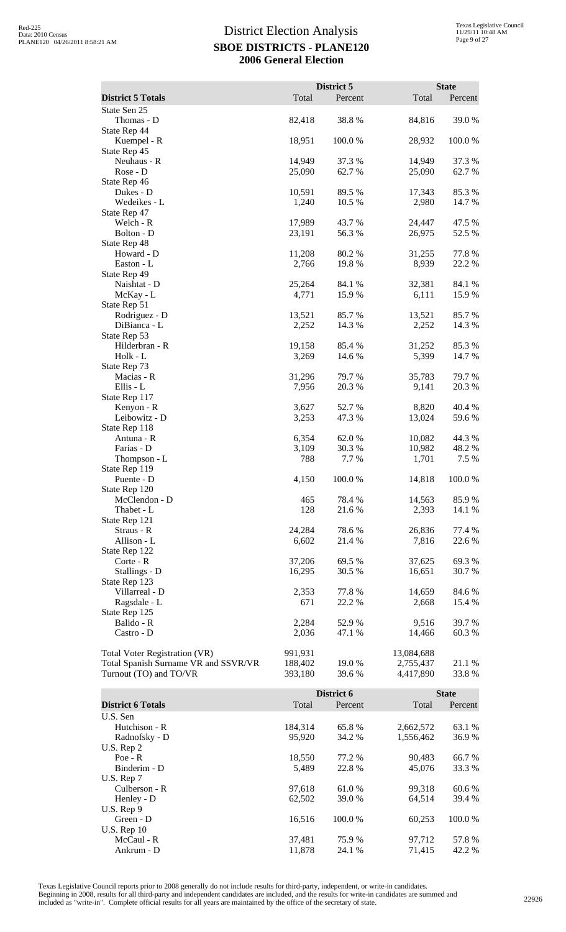|                                      |         | District 5 |            | <b>State</b> |
|--------------------------------------|---------|------------|------------|--------------|
| <b>District 5 Totals</b>             | Total   | Percent    | Total      | Percent      |
| State Sen 25                         |         |            |            |              |
| Thomas - D                           | 82,418  | 38.8%      | 84,816     | 39.0%        |
| State Rep 44                         |         |            |            |              |
| Kuempel - R                          | 18,951  | 100.0%     | 28,932     | 100.0%       |
| State Rep 45                         |         |            |            |              |
| Neuhaus - R                          | 14,949  | 37.3 %     | 14,949     | 37.3 %       |
| Rose - D                             | 25,090  | 62.7%      | 25,090     | 62.7%        |
| State Rep 46                         |         |            |            |              |
| Dukes - D                            | 10,591  | 89.5 %     | 17,343     | 85.3%        |
| Wedeikes - L                         | 1,240   | 10.5 %     | 2,980      | 14.7 %       |
| State Rep 47                         |         |            |            |              |
| Welch - R                            | 17,989  | 43.7 %     | 24,447     | 47.5 %       |
| Bolton - D                           | 23,191  | 56.3%      | 26,975     | 52.5 %       |
| State Rep 48                         |         |            |            |              |
| Howard - D                           | 11,208  | 80.2%      | 31,255     | 77.8 %       |
| Easton - L                           | 2,766   | 19.8 %     | 8,939      | 22.2 %       |
| State Rep 49                         |         |            |            |              |
| Naishtat - D                         | 25,264  | 84.1 %     | 32,381     | 84.1 %       |
| McKay - L                            | 4,771   | 15.9%      | 6,111      | 15.9%        |
| State Rep 51                         |         |            |            |              |
| Rodriguez - D                        | 13,521  | 85.7%      | 13,521     | 85.7%        |
| DiBianca - L                         | 2,252   | 14.3 %     | 2,252      | 14.3 %       |
| State Rep 53                         |         |            |            |              |
| Hilderbran - R                       | 19,158  | 85.4 %     | 31,252     | 85.3%        |
| Holk - L                             | 3,269   | 14.6 %     | 5,399      | 14.7 %       |
| State Rep 73                         |         |            |            |              |
| Macias - R                           | 31,296  | 79.7 %     | 35,783     | 79.7%        |
| Ellis - L<br>State Rep 117           | 7,956   | 20.3 %     | 9,141      | 20.3 %       |
| Kenyon - R                           | 3,627   | 52.7%      | 8,820      | 40.4 %       |
| Leibowitz - D                        | 3,253   | 47.3 %     | 13,024     | 59.6%        |
| State Rep 118                        |         |            |            |              |
| Antuna - R                           | 6,354   | 62.0%      | 10,082     | 44.3 %       |
| Farias - D                           | 3,109   | 30.3%      | 10,982     | 48.2%        |
| Thompson - L                         | 788     | 7.7 %      | 1,701      | 7.5 %        |
| State Rep 119                        |         |            |            |              |
| Puente - D                           | 4,150   | 100.0%     | 14,818     | 100.0 %      |
| State Rep 120                        |         |            |            |              |
| McClendon - D                        | 465     | 78.4 %     | 14,563     | 85.9%        |
| Thabet - L                           | 128     | 21.6%      | 2,393      | 14.1 %       |
| State Rep 121                        |         |            |            |              |
| Straus - R                           | 24,284  | 78.6 %     | 26,836     | 77.4 %       |
| Allison - L                          | 6,602   | 21.4 %     | 7,816      | 22.6 %       |
| State Rep 122                        |         |            |            |              |
| Corte - R                            | 37,206  | 69.5 %     | 37,625     | 69.3%        |
| Stallings - D                        | 16,295  | 30.5 %     | 16,651     | 30.7 %       |
| State Rep 123                        |         |            |            |              |
| Villarreal - D                       | 2,353   | 77.8 %     | 14,659     | 84.6%        |
| Ragsdale - L                         | 671     | 22.2 %     | 2,668      | 15.4 %       |
| State Rep 125                        |         |            |            |              |
| Balido - R                           | 2,284   | 52.9%      | 9,516      | 39.7 %       |
| Castro - D                           | 2,036   | 47.1 %     | 14,466     | 60.3 %       |
|                                      |         |            |            |              |
| <b>Total Voter Registration (VR)</b> | 991,931 |            | 13,084,688 |              |
| Total Spanish Surname VR and SSVR/VR | 188,402 | 19.0 %     | 2,755,437  | 21.1 %       |
| Turnout (TO) and TO/VR               | 393,180 | 39.6 %     | 4,417,890  | 33.8%        |
|                                      |         |            |            |              |
|                                      |         | District 6 |            | <b>State</b> |

|                          |         | District 6 |           |         |
|--------------------------|---------|------------|-----------|---------|
| <b>District 6 Totals</b> | Total   | Percent    | Total     | Percent |
| U.S. Sen                 |         |            |           |         |
| Hutchison - R            | 184,314 | 65.8%      | 2,662,572 | 63.1 %  |
| Radnofsky - D            | 95,920  | 34.2 %     | 1,556,462 | 36.9%   |
| U.S. Rep $2$             |         |            |           |         |
| $Poe - R$                | 18,550  | 77.2 %     | 90,483    | 66.7 %  |
| Binderim - D             | 5,489   | 22.8%      | 45,076    | 33.3 %  |
| U.S. Rep $7$             |         |            |           |         |
| Culberson - R            | 97,618  | 61.0%      | 99,318    | 60.6 %  |
| Henley - D               | 62,502  | 39.0 %     | 64,514    | 39.4 %  |
| $U.S.$ Rep 9             |         |            |           |         |
| Green - D                | 16,516  | 100.0 %    | 60,253    | 100.0%  |
| <b>U.S. Rep 10</b>       |         |            |           |         |
| McCaul - R               | 37,481  | 75.9 %     | 97,712    | 57.8%   |
| Ankrum - D               | 11.878  | 24.1 %     | 71.415    | 42.2 %  |

Texas Legislative Council reports prior to 2008 generally do not include results for third-party, independent, or write-in candidates.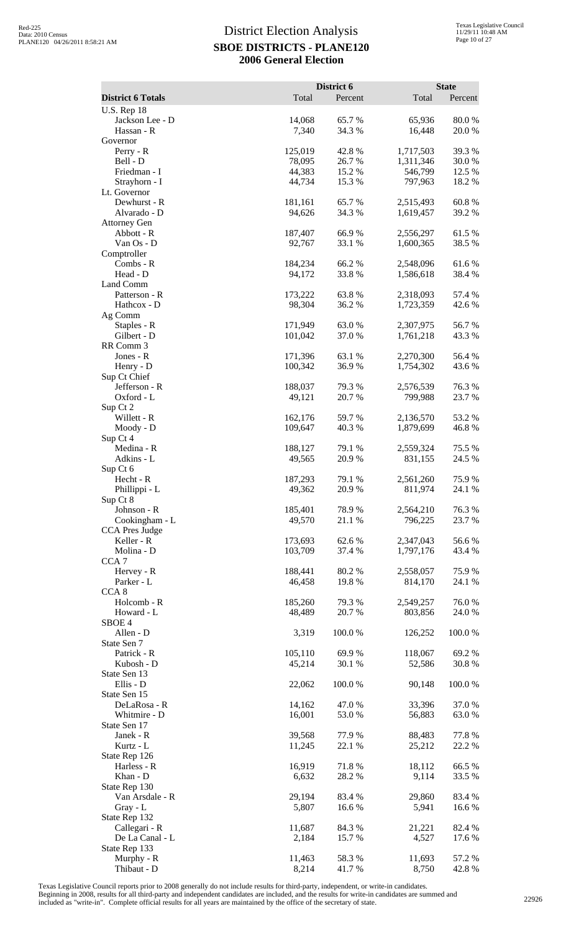|                                       |                    | District 6       |                        | <b>State</b>    |
|---------------------------------------|--------------------|------------------|------------------------|-----------------|
| <b>District 6 Totals</b>              | Total              | Percent          | Total                  | Percent         |
| <b>U.S. Rep 18</b><br>Jackson Lee - D | 14,068             | 65.7%            | 65,936                 | 80.0%           |
| Hassan - R                            | 7,340              | 34.3 %           | 16,448                 | 20.0%           |
| Governor<br>$Perry - R$               | 125,019            | 42.8%            | 1,717,503              | 39.3 %          |
| Bell - D                              | 78,095             | 26.7%            | 1,311,346              | 30.0%           |
| Friedman - I                          | 44,383             | 15.2 %           | 546,799                | 12.5 %          |
| Strayhorn - I                         | 44,734             | 15.3 %           | 797,963                | 18.2 %          |
| Lt. Governor<br>Dewhurst - R          | 181,161            | 65.7%            | 2,515,493              | 60.8%           |
| Alvarado - D                          | 94,626             | 34.3 %           | 1,619,457              | 39.2 %          |
| <b>Attorney Gen</b>                   |                    |                  |                        |                 |
| Abbott - R                            | 187,407            | 66.9%            | 2,556,297              | 61.5%           |
| Van Os - D<br>Comptroller             | 92,767             | 33.1 %           | 1,600,365              | 38.5 %          |
| Combs - R                             | 184,234            | 66.2%            | 2,548,096              | 61.6%           |
| Head - D                              | 94,172             | 33.8%            | 1,586,618              | 38.4%           |
| Land Comm<br>Patterson - R            | 173,222            | 63.8%            | 2,318,093              | 57.4 %          |
| Hathcox - D                           | 98,304             | 36.2%            | 1,723,359              | 42.6 %          |
| Ag Comm                               |                    |                  |                        |                 |
| Staples - R                           | 171,949            | 63.0%            | 2,307,975              | 56.7%           |
| Gilbert - D<br>RR Comm 3              | 101,042            | 37.0%            | 1,761,218              | 43.3%           |
| Jones - R                             | 171,396            | 63.1 %           | 2,270,300              | 56.4 %          |
| Henry - D                             | 100,342            | 36.9%            | 1,754,302              | 43.6 %          |
| Sup Ct Chief                          |                    |                  |                        |                 |
| Jefferson - R                         | 188,037            | 79.3 %           | 2,576,539              | 76.3%           |
| Oxford - L<br>Sup Ct 2                | 49,121             | 20.7%            | 799,988                | 23.7 %          |
| Willett - R                           | 162,176            | 59.7%            | 2,136,570              | 53.2 %          |
| Moody - D                             | 109,647            | 40.3%            | 1,879,699              | 46.8%           |
| Sup Ct 4<br>Medina - R                | 188,127            | 79.1 %           | 2,559,324              | 75.5 %          |
| Adkins - L                            | 49,565             | 20.9%            | 831,155                | 24.5 %          |
| Sup Ct 6                              |                    |                  |                        |                 |
| Hecht - R                             | 187,293            | 79.1 %           | 2,561,260              | 75.9%           |
| Phillippi - L<br>Sup Ct 8             | 49,362             | 20.9%            | 811,974                | 24.1 %          |
| Johnson - R                           | 185,401            | 78.9%            | 2,564,210              | 76.3%           |
| Cookingham - L                        | 49,570             | 21.1 %           | 796,225                | 23.7 %          |
| <b>CCA Pres Judge</b>                 |                    |                  |                        |                 |
| Keller - R<br>Molina - D              | 173,693<br>103,709 | 62.6%<br>37.4 %  | 2,347,043<br>1,797,176 | 56.6%<br>43.4 % |
| CCA <sub>7</sub>                      |                    |                  |                        |                 |
| Hervey - R                            | 188,441            | 80.2 %           | 2,558,057              | 75.9%           |
| Parker - L                            | 46,458             | 19.8%            | 814,170                | 24.1 %          |
| CCA <sub>8</sub><br>Holcomb - R       | 185,260            | 79.3 %           | 2,549,257              | 76.0%           |
| Howard - L                            | 48,489             | 20.7%            | 803,856                | 24.0%           |
| SBOE 4                                |                    |                  |                        |                 |
| Allen - D<br>State Sen 7              | 3,319              | 100.0%           | 126,252                | 100.0%          |
| Patrick - R                           | 105,110            | 69.9%            | 118,067                | 69.2%           |
| Kubosh - D                            | 45,214             | 30.1 %           | 52,586                 | 30.8%           |
| State Sen 13                          |                    |                  |                        |                 |
| Ellis - D<br>State Sen 15             | 22,062             | 100.0%           | 90,148                 | 100.0%          |
| DeLaRosa - R                          | 14,162             | 47.0 %           | 33,396                 | 37.0%           |
| Whitmire - D                          | 16,001             | 53.0%            | 56,883                 | 63.0%           |
| State Sen 17                          |                    |                  |                        |                 |
| Janek - R<br>Kurtz - L                | 39,568<br>11,245   | 77.9 %<br>22.1 % | 88,483<br>25,212       | 77.8%<br>22.2 % |
| State Rep 126                         |                    |                  |                        |                 |
| Harless - R                           | 16,919             | 71.8%            | 18,112                 | 66.5%           |
| Khan - D                              | 6,632              | 28.2 %           | 9,114                  | 33.5 %          |
| State Rep 130<br>Van Arsdale - R      | 29,194             | 83.4 %           | 29,860                 | 83.4 %          |
| $Gray - L$                            | 5,807              | 16.6%            | 5,941                  | 16.6%           |
| State Rep 132                         |                    |                  |                        |                 |
| Callegari - R                         | 11,687             | 84.3%            | 21,221                 | 82.4 %          |
| De La Canal - L<br>State Rep 133      | 2,184              | 15.7 %           | 4,527                  | 17.6 %          |
| Murphy - R                            | 11,463             | 58.3%            | 11,693                 | 57.2 %          |
| Thibaut - D                           | 8,214              | 41.7%            | 8,750                  | 42.8%           |

Texas Legislative Council reports prior to 2008 generally do not include results for third-party, independent, or write-in candidates.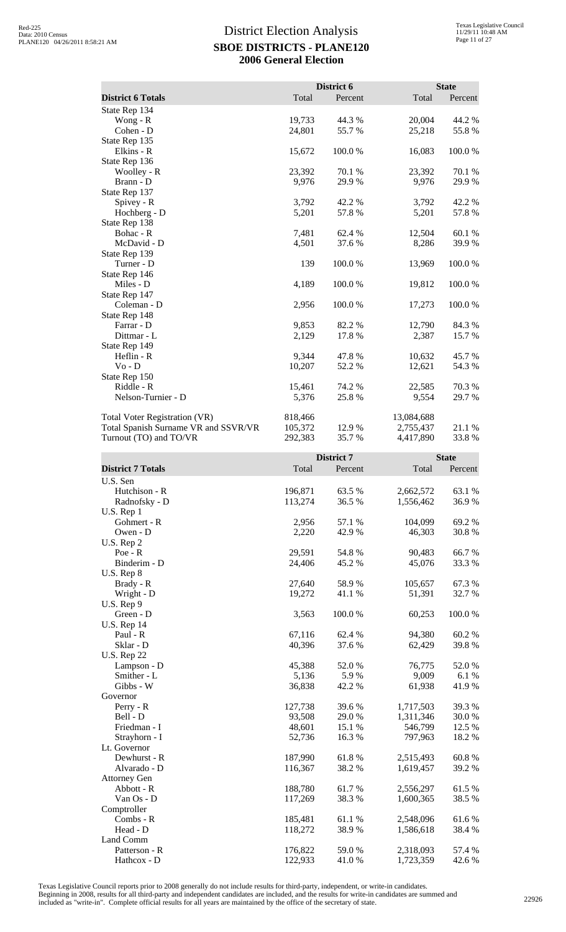| <b>District 6 Totals</b>             | Total              | District 6<br>Percent | Total                  | <b>State</b><br>Percent |
|--------------------------------------|--------------------|-----------------------|------------------------|-------------------------|
| State Rep 134                        |                    |                       |                        |                         |
| Wong - R                             | 19,733             | 44.3 %                | 20,004                 | 44.2 %                  |
| Cohen - D                            | 24,801             | 55.7 %                | 25,218                 | 55.8%                   |
| State Rep 135                        |                    |                       |                        |                         |
| Elkins - R                           | 15,672             | 100.0%                | 16,083                 | 100.0%                  |
| State Rep 136<br>Woolley - R         | 23,392             | 70.1 %                | 23,392                 | 70.1 %                  |
| Brann - D                            | 9,976              | 29.9 %                | 9,976                  | 29.9%                   |
| State Rep 137                        |                    |                       |                        |                         |
| Spivey - R                           | 3,792              | 42.2 %                | 3,792                  | 42.2 %                  |
| Hochberg - D                         | 5,201              | 57.8%                 | 5,201                  | 57.8 %                  |
| State Rep 138                        |                    |                       |                        |                         |
| Bohac - R<br>McDavid - D             | 7,481<br>4,501     | 62.4 %<br>37.6 %      | 12,504<br>8,286        | 60.1%<br>39.9%          |
| State Rep 139                        |                    |                       |                        |                         |
| Turner - D                           | 139                | 100.0%                | 13,969                 | 100.0%                  |
| State Rep 146                        |                    |                       |                        |                         |
| Miles - D                            | 4,189              | 100.0%                | 19,812                 | 100.0%                  |
| State Rep 147<br>Coleman - D         |                    | 100.0%                |                        | 100.0%                  |
| State Rep 148                        | 2,956              |                       | 17,273                 |                         |
| Farrar - D                           | 9,853              | 82.2 %                | 12,790                 | 84.3 %                  |
| Dittmar - L                          | 2,129              | 17.8 %                | 2,387                  | 15.7 %                  |
| State Rep 149                        |                    |                       |                        |                         |
| $Heflin - R$                         | 9,344              | 47.8%                 | 10,632                 | 45.7 %                  |
| $Vo - D$                             | 10,207             | 52.2 %                | 12,621                 | 54.3 %                  |
| State Rep 150<br>Riddle - R          | 15,461             | 74.2 %                | 22,585                 | 70.3 %                  |
| Nelson-Turnier - D                   | 5,376              | 25.8%                 | 9,554                  | 29.7 %                  |
|                                      |                    |                       |                        |                         |
| <b>Total Voter Registration (VR)</b> | 818,466            |                       | 13,084,688             |                         |
| Total Spanish Surname VR and SSVR/VR | 105,372            | 12.9%                 | 2,755,437              | 21.1 %                  |
| Turnout (TO) and TO/VR               | 292,383            | 35.7%                 | 4,417,890              | 33.8%                   |
|                                      |                    |                       |                        |                         |
|                                      |                    | District 7            |                        | <b>State</b>            |
| <b>District 7 Totals</b>             | Total              | Percent               | Total                  | Percent                 |
| U.S. Sen                             |                    |                       |                        |                         |
| Hutchison - R                        | 196,871            | 63.5 %                | 2,662,572              | 63.1 %                  |
| Radnofsky - D                        | 113,274            | 36.5 %                | 1,556,462              | 36.9%                   |
| U.S. Rep 1                           |                    |                       |                        |                         |
| Gohmert - R                          | 2,956              | 57.1 %                | 104,099                | 69.2%                   |
| Owen - D                             | 2,220              | 42.9%                 | 46,303                 | 30.8%                   |
| U.S. Rep 2<br>Poe - R                | 29,591             | 54.8%                 | 90,483                 | 66.7%                   |
| Binderim - D                         | 24,406             | 45.2 %                | 45,076                 | 33.3 %                  |
| U.S. Rep 8                           |                    |                       |                        |                         |
| Brady - R                            | 27,640             | 58.9%                 | 105,657                | 67.3%                   |
| Wright - D                           | 19,272             | 41.1 %                | 51,391                 | 32.7 %                  |
| U.S. Rep 9                           |                    |                       |                        |                         |
| Green - D<br><b>U.S. Rep 14</b>      | 3,563              | 100.0%                | 60,253                 | 100.0%                  |
| Paul - R                             | 67,116             | 62.4 %                | 94,380                 | 60.2%                   |
| Sklar - D                            | 40,396             | 37.6 %                | 62,429                 | 39.8%                   |
| <b>U.S. Rep 22</b>                   |                    |                       |                        |                         |
| Lampson - D                          | 45,388             | 52.0%                 | 76,775                 | 52.0%                   |
| Smither - L                          | 5,136              | 5.9%                  | 9,009                  | 6.1 %                   |
| Gibbs - W<br>Governor                | 36,838             | 42.2 %                | 61,938                 | 41.9%                   |
| Perry - R                            | 127,738            | 39.6%                 | 1,717,503              | 39.3%                   |
| Bell - D                             | 93,508             | 29.0 %                | 1,311,346              | 30.0 %                  |
| Friedman - I                         | 48,601             | 15.1 %                | 546,799                | 12.5 %                  |
| Strayhorn - I                        | 52,736             | 16.3%                 | 797,963                | 18.2 %                  |
| Lt. Governor<br>Dewhurst - R         |                    |                       |                        |                         |
| Alvarado - D                         | 187,990<br>116,367 | 61.8%<br>38.2%        | 2,515,493<br>1,619,457 | 60.8%<br>39.2 %         |
| <b>Attorney Gen</b>                  |                    |                       |                        |                         |
| Abbott - R                           | 188,780            | 61.7 %                | 2,556,297              | 61.5%                   |
| Van Os - D                           | 117,269            | 38.3%                 | 1,600,365              | 38.5 %                  |
| Comptroller<br>Combs - R             | 185,481            | 61.1%                 | 2,548,096              | 61.6%                   |

Texas Legislative Council reports prior to 2008 generally do not include results for third-party, independent, or write-in candidates. Beginning in 2008, results for all third-party and independent candidates are included, and the results for write-in candidates are summed and<br>included as "write-in". Complete official results for all years are maintained

Land Comm

Hathcox - D

Head - D 118,272 38.9 % 1,586,618 38.4 %

Patterson - R<br>
Hathcox - D<br>
Hathcox - D<br>
122,933<br>
1.0 % 2,318,093<br>
1,723,359<br>
42.6 %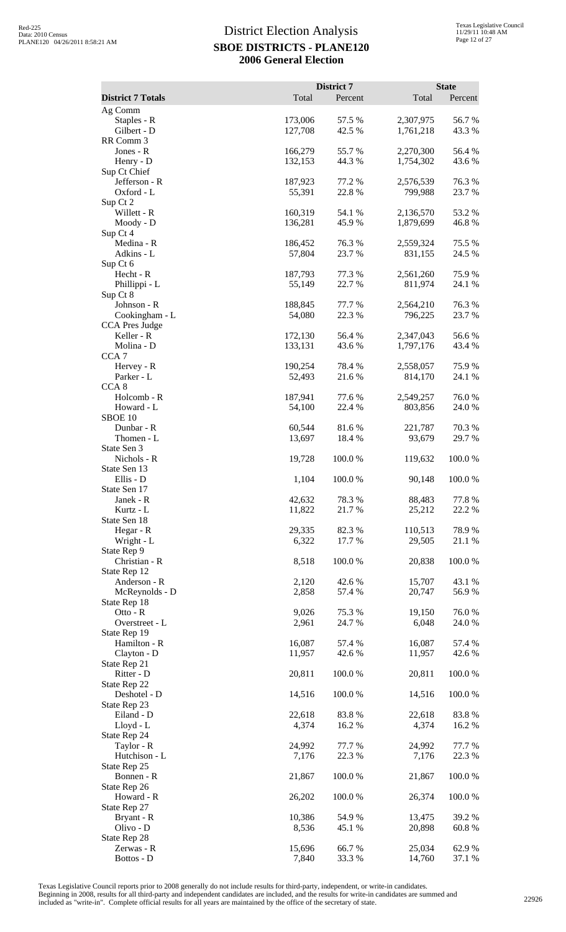|                                     |                    | District 7       |                        | <b>State</b>     |
|-------------------------------------|--------------------|------------------|------------------------|------------------|
| <b>District 7 Totals</b><br>Ag Comm | Total              | Percent          | Total                  | Percent          |
| Staples - R                         | 173,006            | 57.5 %           | 2,307,975              | 56.7%            |
| Gilbert - D                         | 127,708            | 42.5 %           | 1,761,218              | 43.3 %           |
| RR Comm 3<br>Jones - R              | 166,279            | 55.7%            | 2,270,300              | 56.4 %           |
| Henry - D                           | 132,153            | 44.3 %           | 1,754,302              | 43.6 %           |
| Sup Ct Chief                        |                    |                  |                        |                  |
| Jefferson - R<br>Oxford - L         | 187,923<br>55,391  | 77.2 %<br>22.8 % | 2,576,539<br>799,988   | 76.3%<br>23.7 %  |
| Sup Ct 2                            |                    |                  |                        |                  |
| Willett - R                         | 160,319<br>136,281 | 54.1 %<br>45.9%  | 2,136,570              | 53.2 %<br>46.8%  |
| Moody - D<br>Sup Ct 4               |                    |                  | 1,879,699              |                  |
| Medina - R                          | 186,452            | 76.3%            | 2,559,324              | 75.5 %           |
| Adkins - L<br>Sup Ct 6              | 57,804             | 23.7 %           | 831,155                | 24.5 %           |
| Hecht - R                           | 187,793            | 77.3 %           | 2,561,260              | 75.9%            |
| Phillippi - L                       | 55,149             | 22.7%            | 811,974                | 24.1 %           |
| Sup Ct 8<br>Johnson - R             | 188,845            | 77.7 %           | 2,564,210              | 76.3%            |
| Cookingham - L                      | 54,080             | 22.3 %           | 796,225                | 23.7%            |
| CCA Pres Judge                      |                    |                  |                        |                  |
| Keller - R<br>Molina - D            | 172,130<br>133,131 | 56.4 %<br>43.6 % | 2,347,043<br>1,797,176 | 56.6%<br>43.4 %  |
| CCA <sub>7</sub>                    |                    |                  |                        |                  |
| Hervey - R<br>Parker - L            | 190,254<br>52,493  | 78.4 %<br>21.6 % | 2,558,057              | 75.9%<br>24.1 %  |
| CCA <sub>8</sub>                    |                    |                  | 814,170                |                  |
| Holcomb - R                         | 187,941            | 77.6 %           | 2,549,257              | 76.0%            |
| Howard - L<br>SBOE 10               | 54,100             | 22.4 %           | 803,856                | 24.0%            |
| Dunbar - R                          | 60,544             | 81.6%            | 221,787                | 70.3%            |
| Thomen - L                          | 13,697             | 18.4 %           | 93,679                 | 29.7 %           |
| State Sen 3<br>Nichols - R          | 19,728             | 100.0%           | 119,632                | 100.0%           |
| State Sen 13                        |                    |                  |                        |                  |
| Ellis - D                           | 1,104              | 100.0%           | 90,148                 | 100.0%           |
| State Sen 17<br>Janek - R           | 42,632             | 78.3%            | 88,483                 | 77.8%            |
| Kurtz - L                           | 11,822             | 21.7%            | 25,212                 | 22.2 %           |
| State Sen 18                        |                    |                  |                        |                  |
| Hegar - R<br>Wright - L             | 29,335<br>6,322    | 82.3 %<br>17.7 % | 110,513<br>29,505      | 78.9%<br>21.1 %  |
| State Rep 9                         |                    |                  |                        |                  |
| Christian - R                       | 8,518              | 100.0%           | 20,838                 | 100.0%           |
| State Rep 12<br>Anderson - R        | 2,120              | 42.6%            | 15,707                 | 43.1 %           |
| McReynolds - D                      | 2,858              | 57.4 %           | 20,747                 | 56.9%            |
| State Rep 18<br>Otto - R            | 9,026              | 75.3 %           | 19,150                 | 76.0%            |
| Overstreet - L                      | 2,961              | 24.7 %           | 6,048                  | 24.0%            |
| State Rep 19                        |                    |                  |                        |                  |
| Hamilton - R<br>Clayton - D         | 16,087<br>11,957   | 57.4 %<br>42.6 % | 16,087<br>11,957       | 57.4 %<br>42.6 % |
| State Rep 21                        |                    |                  |                        |                  |
| Ritter - D                          | 20,811             | 100.0%           | 20,811                 | 100.0%           |
| State Rep 22<br>Deshotel - D        | 14,516             | 100.0%           | 14,516                 | 100.0%           |
| State Rep 23                        |                    |                  |                        |                  |
| Eiland - D<br>Lloyd - L             | 22,618<br>4,374    | 83.8%<br>16.2%   | 22,618<br>4,374        | 83.8%<br>16.2 %  |
| State Rep 24                        |                    |                  |                        |                  |
| Taylor - R                          | 24,992             | 77.7 %           | 24,992                 | 77.7 %           |
| Hutchison - L                       | 7,176              | 22.3 %           | 7,176                  | 22.3 %           |
| State Rep 25<br>Bonnen - R          | 21,867             | 100.0%           | 21,867                 | 100.0%           |
| State Rep 26                        |                    |                  |                        |                  |
| Howard - R<br>State Rep 27          | 26,202             | 100.0%           | 26,374                 | 100.0%           |
| Bryant - R                          | 10,386             | 54.9 %           | 13,475                 | 39.2 %           |
| Olivo - D                           | 8,536              | 45.1 %           | 20,898                 | 60.8%            |
| State Rep 28<br>Zerwas - R          | 15,696             | 66.7%            | 25,034                 | 62.9%            |
| Bottos - D                          | 7,840              | 33.3 %           | 14,760                 | 37.1 %           |

Texas Legislative Council reports prior to 2008 generally do not include results for third-party, independent, or write-in candidates.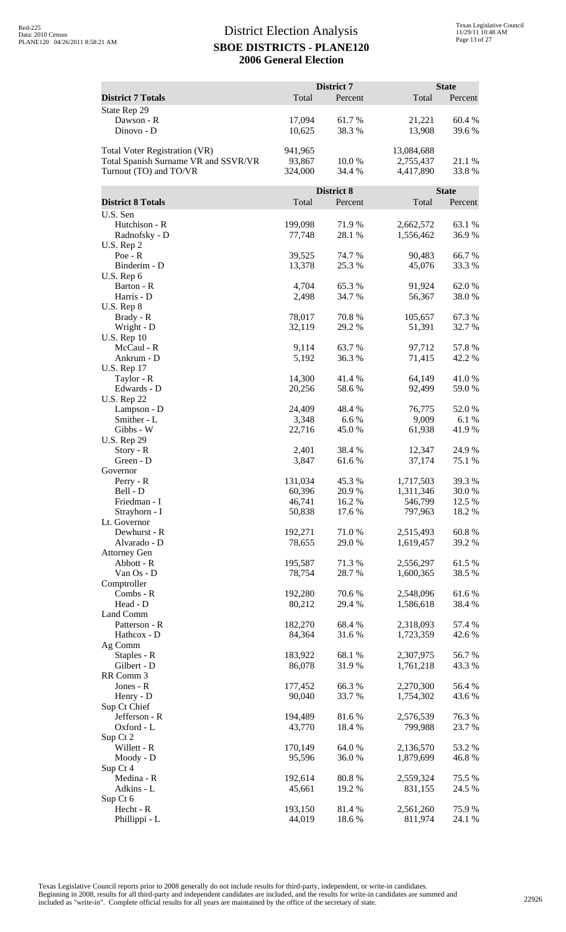|                                                                                                 |                              | District 7       |                                      | <b>State</b>    |
|-------------------------------------------------------------------------------------------------|------------------------------|------------------|--------------------------------------|-----------------|
| <b>District 7 Totals</b>                                                                        | Total                        | Percent          | Total                                | Percent         |
| State Rep 29<br>Dawson - R<br>Dinovo - D                                                        | 17,094<br>10,625             | 61.7%<br>38.3%   | 21,221<br>13,908                     | 60.4%<br>39.6%  |
| Total Voter Registration (VR)<br>Total Spanish Surname VR and SSVR/VR<br>Turnout (TO) and TO/VR | 941,965<br>93,867<br>324,000 | 10.0 %<br>34.4 % | 13,084,688<br>2,755,437<br>4,417,890 | 21.1 %<br>33.8% |
|                                                                                                 |                              | District 8       |                                      | <b>State</b>    |
| <b>District 8 Totals</b>                                                                        | Total                        | Percent          | Total                                | Percent         |
| U.S. Sen                                                                                        |                              |                  |                                      |                 |
| Hutchison - R<br>Radnofsky - D<br>U.S. Rep 2                                                    | 199,098<br>77,748            | 71.9 %<br>28.1 % | 2,662,572<br>1,556,462               | 63.1 %<br>36.9% |
| $Poe - R$                                                                                       | 39,525                       | 74.7 %           | 90,483                               | 66.7%           |
| Binderim - D<br>U.S. Rep 6                                                                      | 13,378                       | 25.3 %           | 45,076                               | 33.3 %          |
| Barton - R                                                                                      | 4,704                        | 65.3 %           | 91,924                               | 62.0%           |
| Harris - D                                                                                      | 2,498                        | 34.7 %           | 56,367                               | 38.0%           |
| U.S. Rep 8<br>Brady - R                                                                         | 78,017                       | 70.8%            | 105,657                              | 67.3%           |
| Wright - D                                                                                      | 32,119                       | 29.2 %           | 51,391                               | 32.7 %          |
| <b>U.S. Rep 10</b>                                                                              |                              |                  |                                      |                 |
| McCaul - R<br>Ankrum - D                                                                        | 9,114<br>5,192               | 63.7%<br>36.3%   | 97,712<br>71,415                     | 57.8%<br>42.2 % |
| <b>U.S. Rep 17</b>                                                                              |                              |                  |                                      |                 |
| Taylor - R                                                                                      | 14,300                       | 41.4 %           | 64,149                               | 41.0%           |
| Edwards - D<br><b>U.S. Rep 22</b>                                                               | 20,256                       | 58.6%            | 92,499                               | 59.0%           |
| Lampson - D                                                                                     | 24,409                       | 48.4 %           | 76,775                               | 52.0%           |
| Smither - L                                                                                     | 3,348                        | 6.6%             | 9,009                                | 6.1 %           |
| Gibbs - W<br><b>U.S. Rep 29</b>                                                                 | 22,716                       | 45.0 %           | 61,938                               | 41.9%           |
| Story - R                                                                                       | 2,401                        | 38.4 %           | 12,347                               | 24.9%           |
| Green - D                                                                                       | 3,847                        | 61.6%            | 37,174                               | 75.1 %          |
| Governor<br>Perry - R                                                                           | 131,034                      | 45.3 %           | 1,717,503                            | 39.3%           |
| Bell - D                                                                                        | 60,396                       | 20.9%            | 1,311,346                            | 30.0%           |
| Friedman - I                                                                                    | 46,741                       | 16.2%<br>17.6 %  | 546,799                              | 12.5 %          |
| Strayhorn - I<br>Lt. Governor                                                                   | 50,838                       |                  | 797,963                              | 18.2%           |
| Dewhurst - R                                                                                    | 192,271                      | 71.0%            | 2,515,493                            | 60.8%           |
| Alvarado - D                                                                                    | 78,655                       | 29.0%            | 1,619,457                            | 39.2 %          |
| <b>Attorney Gen</b><br>Abbott - R                                                               | 195,587                      | 71.3 %           | 2,556,297                            | 61.5%           |
| Van Os - D                                                                                      | 78,754                       | 28.7%            | 1,600,365                            | 38.5 %          |
| Comptroller<br>Combs - R                                                                        |                              |                  |                                      |                 |
| Head - D                                                                                        | 192,280<br>80,212            | 70.6 %<br>29.4 % | 2,548,096<br>1,586,618               | 61.6%<br>38.4 % |
| Land Comm                                                                                       |                              |                  |                                      |                 |
| Patterson - R                                                                                   | 182,270                      | 68.4%            | 2,318,093                            | 57.4 %          |
| Hathcox - D<br>Ag Comm                                                                          | 84,364                       | 31.6%            | 1,723,359                            | 42.6 %          |
| Staples - R                                                                                     | 183,922                      | 68.1 %           | 2,307,975                            | 56.7%           |
| Gilbert - D<br>RR Comm 3                                                                        | 86,078                       | 31.9%            | 1,761,218                            | 43.3 %          |
| Jones - R                                                                                       | 177,452                      | 66.3%            | 2,270,300                            | 56.4 %          |
| Henry - D                                                                                       | 90,040                       | 33.7%            | 1,754,302                            | 43.6 %          |
| Sup Ct Chief<br>Jefferson - R                                                                   | 194,489                      | 81.6%            |                                      | 76.3%           |
| Oxford - L                                                                                      | 43,770                       | 18.4 %           | 2,576,539<br>799,988                 | 23.7 %          |
| Sup Ct 2                                                                                        |                              |                  |                                      |                 |
| Willett - R<br>Moody - D                                                                        | 170,149<br>95,596            | 64.0%<br>36.0%   | 2,136,570<br>1,879,699               | 53.2 %<br>46.8% |
| Sup Ct 4                                                                                        |                              |                  |                                      |                 |
| Medina - R                                                                                      | 192,614                      | 80.8%            | 2,559,324                            | 75.5 %          |
| Adkins - L                                                                                      | 45,661                       | 19.2 %           | 831,155                              | 24.5 %          |
| Sup Ct 6<br>Hecht - R                                                                           | 193,150                      | 81.4%            | 2,561,260                            | 75.9%           |
| Phillippi - L                                                                                   | 44,019                       | 18.6%            | 811,974                              | 24.1 %          |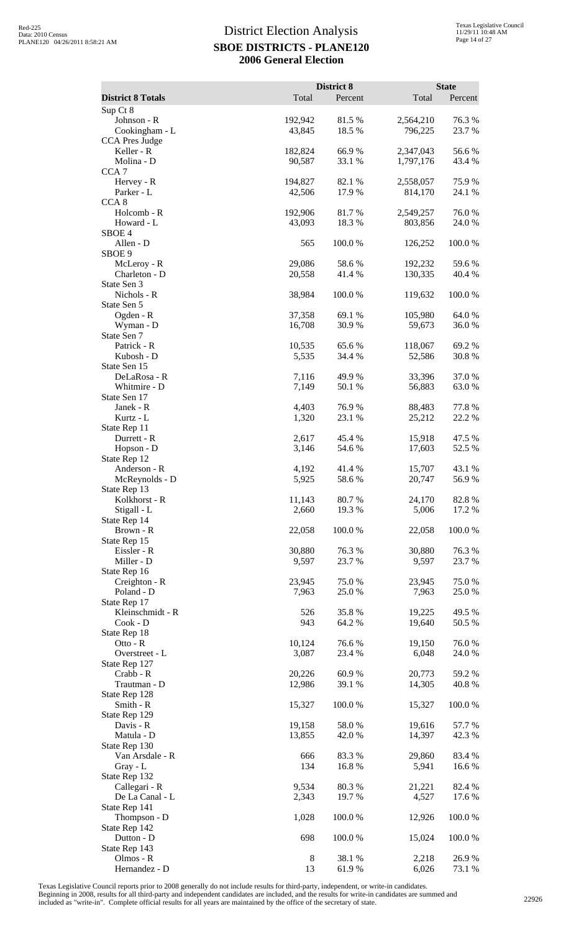|                                      | Total             | District 8<br>Percent |                      | <b>State</b>    |
|--------------------------------------|-------------------|-----------------------|----------------------|-----------------|
| <b>District 8 Totals</b><br>Sup Ct 8 |                   |                       | Total                | Percent         |
| Johnson - R                          | 192,942           | 81.5%                 | 2,564,210            | 76.3%           |
| Cookingham - L                       | 43,845            | 18.5 %                | 796,225              | 23.7 %          |
| CCA Pres Judge                       |                   |                       |                      |                 |
| Keller - R                           | 182,824           | 66.9%                 | 2,347,043            | 56.6%           |
| Molina - D                           | 90,587            | 33.1 %                | 1,797,176            | 43.4 %          |
| CCA <sub>7</sub>                     |                   |                       |                      |                 |
| Hervey - R<br>Parker - L             | 194,827<br>42,506 | 82.1 %<br>17.9%       | 2,558,057<br>814,170 | 75.9%<br>24.1 % |
| CCA <sub>8</sub>                     |                   |                       |                      |                 |
| Holcomb - R                          | 192,906           | 81.7%                 | 2,549,257            | 76.0%           |
| Howard - L                           | 43,093            | 18.3%                 | 803,856              | 24.0%           |
| SBOE <sub>4</sub>                    |                   |                       |                      |                 |
| Allen - D<br>SBOE 9                  | 565               | 100.0%                | 126,252              | 100.0%          |
| McLeroy - R                          | 29,086            | 58.6%                 | 192,232              | 59.6%           |
| Charleton - D                        | 20,558            | 41.4 %                | 130,335              | 40.4 %          |
| State Sen 3                          |                   |                       |                      |                 |
| Nichols - R                          | 38,984            | 100.0%                | 119,632              | 100.0%          |
| State Sen 5                          |                   |                       |                      |                 |
| Ogden - R                            | 37,358            | 69.1 %                | 105,980              | 64.0%           |
| Wyman - D<br>State Sen 7             | 16,708            | 30.9%                 | 59,673               | 36.0%           |
| Patrick - R                          | 10,535            | 65.6%                 | 118,067              | 69.2%           |
| Kubosh - D                           | 5,535             | 34.4 %                | 52,586               | 30.8%           |
| State Sen 15                         |                   |                       |                      |                 |
| DeLaRosa - R                         | 7,116             | 49.9%                 | 33,396               | 37.0%           |
| Whitmire - D                         | 7,149             | 50.1 %                | 56,883               | 63.0%           |
| State Sen 17                         |                   |                       |                      |                 |
| Janek - R<br>Kurtz - L               | 4,403<br>1,320    | 76.9%<br>23.1 %       | 88,483<br>25,212     | 77.8%<br>22.2 % |
| State Rep 11                         |                   |                       |                      |                 |
| Durrett - R                          | 2,617             | 45.4 %                | 15,918               | 47.5 %          |
| Hopson - D                           | 3,146             | 54.6 %                | 17,603               | 52.5 %          |
| State Rep 12                         |                   |                       |                      |                 |
| Anderson - R                         | 4,192             | 41.4%                 | 15,707               | 43.1 %          |
| McReynolds - D<br>State Rep 13       | 5,925             | 58.6%                 | 20,747               | 56.9%           |
| Kolkhorst - R                        | 11,143            | 80.7%                 | 24,170               | 82.8%           |
| Stigall - L                          | 2,660             | 19.3 %                | 5,006                | 17.2 %          |
| State Rep 14                         |                   |                       |                      |                 |
| Brown - R                            | 22,058            | 100.0%                | 22,058               | 100.0%          |
| State Rep 15                         |                   |                       |                      |                 |
| Eissler - R<br>Miller - D            | 30,880<br>9,597   | 76.3%<br>23.7 %       | 30,880<br>9,597      | 76.3%<br>23.7 % |
| State Rep 16                         |                   |                       |                      |                 |
| Creighton - R                        | 23,945            | 75.0%                 | 23,945               | 75.0%           |
| Poland - D                           | 7,963             | 25.0%                 | 7,963                | 25.0%           |
| State Rep 17                         |                   |                       |                      |                 |
| Kleinschmidt - R                     | 526               | 35.8%                 | 19,225               | 49.5 %          |
| $Cook - D$<br>State Rep 18           | 943               | 64.2 %                | 19,640               | 50.5 %          |
| Otto - $R$                           | 10,124            | 76.6%                 | 19,150               | 76.0%           |
| Overstreet - L                       | 3,087             | 23.4 %                | 6,048                | 24.0 %          |
| State Rep 127                        |                   |                       |                      |                 |
| Crabb - R                            | 20,226            | 60.9%                 | 20,773               | 59.2 %          |
| Trautman - D                         | 12,986            | 39.1 %                | 14,305               | 40.8%           |
| State Rep 128<br>Smith - R           | 15,327            | 100.0%                | 15,327               | 100.0%          |
| State Rep 129                        |                   |                       |                      |                 |
| Davis - R                            | 19,158            | 58.0%                 | 19,616               | 57.7 %          |
| Matula - D                           | 13,855            | 42.0%                 | 14,397               | 42.3 %          |
| State Rep 130                        |                   |                       |                      |                 |
| Van Arsdale - R                      | 666               | 83.3%                 | 29,860               | 83.4 %          |
| $Gray - L$                           | 134               | 16.8%                 | 5,941                | 16.6%           |
| State Rep 132<br>Callegari - R       | 9,534             | 80.3%                 | 21,221               | 82.4 %          |
| De La Canal - L                      | 2,343             | 19.7 %                | 4,527                | 17.6 %          |
| State Rep 141                        |                   |                       |                      |                 |
| Thompson - D                         | 1,028             | 100.0%                | 12,926               | 100.0%          |
| State Rep 142                        |                   |                       |                      |                 |
| Dutton - D                           | 698               | 100.0%                | 15,024               | 100.0%          |
| State Rep 143<br>Olmos - R           | 8                 | 38.1 %                | 2,218                | 26.9%           |
| Hernandez - D                        | 13                | 61.9%                 | 6,026                | 73.1 %          |

Texas Legislative Council reports prior to 2008 generally do not include results for third-party, independent, or write-in candidates.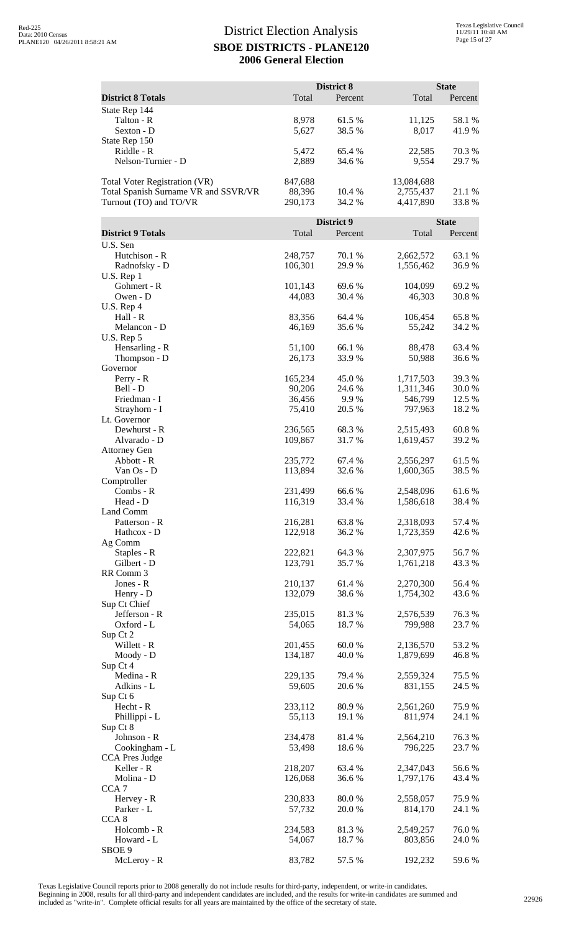| <b>District 8 Totals</b>             | Total              | District 8<br>Percent | Total                  | <b>State</b><br>Percent |
|--------------------------------------|--------------------|-----------------------|------------------------|-------------------------|
| State Rep 144                        |                    |                       |                        |                         |
| Talton - R                           | 8,978              | 61.5 %                | 11,125                 | 58.1 %                  |
| Sexton - D                           | 5,627              | 38.5 %                | 8,017                  | 41.9%                   |
| State Rep 150                        |                    |                       |                        |                         |
| Riddle - R                           | 5,472              | 65.4 %                | 22,585                 | 70.3%                   |
| Nelson-Turnier - D                   | 2,889              | 34.6 %                | 9,554                  | 29.7 %                  |
| Total Voter Registration (VR)        | 847,688            |                       | 13,084,688             |                         |
| Total Spanish Surname VR and SSVR/VR | 88,396             | 10.4 %                | 2,755,437              | 21.1 %                  |
| Turnout (TO) and TO/VR               | 290,173            | 34.2 %                | 4,417,890              | 33.8%                   |
|                                      |                    | District 9            |                        | <b>State</b>            |
| <b>District 9 Totals</b>             | Total              | Percent               | Total                  | Percent                 |
| U.S. Sen                             |                    |                       |                        |                         |
| Hutchison - R                        | 248,757            | 70.1 %                | 2,662,572              | 63.1 %                  |
| Radnofsky - D                        | 106,301            | 29.9 %                | 1,556,462              | 36.9%                   |
| U.S. Rep 1<br>Gohmert - R            | 101,143            | 69.6%                 | 104,099                | 69.2%                   |
| Owen - D                             | 44,083             | 30.4 %                | 46,303                 | 30.8%                   |
| U.S. Rep 4                           |                    |                       |                        |                         |
| Hall - R<br>Melancon - D             | 83,356<br>46,169   | 64.4 %<br>35.6%       | 106,454                | 65.8%<br>34.2 %         |
| U.S. Rep 5                           |                    |                       | 55,242                 |                         |
| Hensarling - R                       | 51,100             | 66.1 %                | 88,478                 | 63.4 %                  |
| Thompson - D                         | 26,173             | 33.9%                 | 50,988                 | 36.6 %                  |
| Governor                             |                    |                       |                        |                         |
| Perry - R<br>Bell - D                | 165,234<br>90,206  | 45.0%<br>24.6 %       | 1,717,503<br>1,311,346 | 39.3%<br>30.0%          |
| Friedman - I                         | 36,456             | 9.9%                  | 546,799                | 12.5 %                  |
| Strayhorn - I                        | 75,410             | 20.5 %                | 797,963                | 18.2 %                  |
| Lt. Governor                         |                    |                       |                        |                         |
| Dewhurst - R<br>Alvarado - D         | 236,565<br>109,867 | 68.3%<br>31.7%        | 2,515,493<br>1,619,457 | 60.8%<br>39.2 %         |
| <b>Attorney Gen</b>                  |                    |                       |                        |                         |
| Abbott - R                           | 235,772            | 67.4 %                | 2,556,297              | 61.5%                   |
| Van Os - D                           | 113,894            | 32.6 %                | 1,600,365              | 38.5 %                  |
| Comptroller<br>Combs - R             | 231,499            | 66.6%                 | 2,548,096              | 61.6%                   |
| Head - D                             | 116,319            | 33.4 %                | 1,586,618              | 38.4 %                  |
| Land Comm                            |                    |                       |                        |                         |
| Patterson - R                        | 216,281            | 63.8%                 | 2,318,093              | 57.4 %                  |
| Hathcox - D<br>Ag Comm               | 122,918            | 36.2%                 | 1,723,359              | 42.6 %                  |
| Staples - R                          | 222,821            | 64.3 %                | 2,307,975              | 56.7 %                  |
| Gilbert - D                          | 123,791            | 35.7%                 | 1,761,218              | 43.3 %                  |
| RR Comm 3<br>Jones - R               | 210,137            | 61.4%                 | 2,270,300              | 56.4 %                  |
| Henry - D                            | 132,079            | 38.6%                 | 1,754,302              | 43.6 %                  |
| Sup Ct Chief                         |                    |                       |                        |                         |
| Jefferson - R                        | 235,015            | 81.3%                 | 2,576,539              | 76.3%                   |
| Oxford - L<br>Sup Ct 2               | 54,065             | 18.7%                 | 799,988                | 23.7%                   |
| Willett - R                          | 201,455            | 60.0%                 | 2,136,570              | 53.2 %                  |
| Moody - D                            | 134,187            | 40.0 %                | 1,879,699              | 46.8%                   |
| Sup Ct 4                             |                    |                       |                        |                         |
| Medina - R<br>Adkins - L             | 229,135<br>59,605  | 79.4 %<br>20.6 %      | 2,559,324<br>831,155   | 75.5 %<br>24.5 %        |
| Sup Ct 6                             |                    |                       |                        |                         |
| Hecht - R                            | 233,112            | 80.9%                 | 2,561,260              | 75.9%                   |
| Phillippi - L                        | 55,113             | 19.1 %                | 811,974                | 24.1 %                  |
| Sup Ct 8<br>Johnson - R              | 234,478            | 81.4 %                | 2,564,210              | 76.3%                   |
| Cookingham - L                       | 53,498             | 18.6%                 | 796,225                | 23.7 %                  |
| <b>CCA Pres Judge</b>                |                    |                       |                        |                         |
| Keller - R                           | 218,207            | 63.4 %                | 2,347,043              | 56.6%                   |
| Molina - D<br>CCA <sub>7</sub>       | 126,068            | 36.6%                 | 1,797,176              | 43.4 %                  |
| Hervey - R                           | 230,833            | $80.0\;\%$            | 2,558,057              | 75.9%                   |
| Parker - L                           | 57,732             | 20.0 %                | 814,170                | 24.1 %                  |
| CCA <sub>8</sub>                     |                    |                       |                        |                         |
| Holcomb - R<br>Howard - L            | 234,583<br>54,067  | 81.3%<br>18.7%        | 2,549,257<br>803,856   | 76.0%<br>24.0 %         |
| SBOE 9                               |                    |                       |                        |                         |
| McLeroy - R                          | 83,782             | 57.5 %                | 192,232                | 59.6%                   |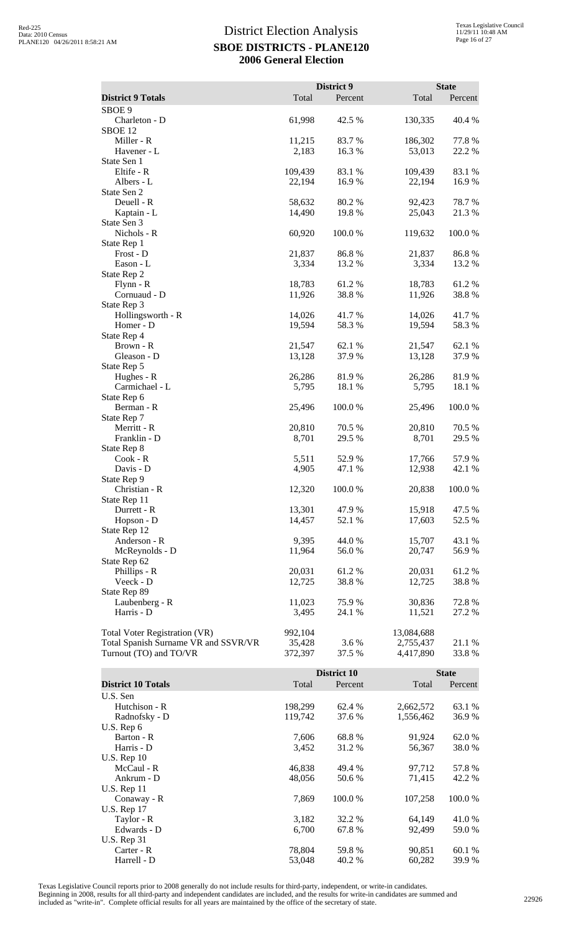|                                      |                  | District 9      |                  | <b>State</b>   |
|--------------------------------------|------------------|-----------------|------------------|----------------|
| <b>District 9 Totals</b>             | Total            | Percent         | Total            | Percent        |
| SBOE <sub>9</sub>                    |                  |                 |                  |                |
| Charleton - D                        | 61,998           | 42.5 %          | 130,335          | 40.4 %         |
| SBOE <sub>12</sub>                   |                  |                 |                  |                |
| Miller - R                           | 11,215           | 83.7 %          | 186,302          | 77.8%          |
| Havener - L                          | 2,183            | 16.3%           | 53,013           | 22.2 %         |
| State Sen 1                          |                  |                 |                  |                |
| Eltife - R                           | 109,439          | 83.1 %          | 109,439          | 83.1 %         |
| Albers - L                           | 22,194           | 16.9%           | 22,194           | 16.9%          |
| State Sen 2                          |                  |                 |                  |                |
| Deuell - R                           | 58,632           | 80.2%           | 92,423           | 78.7%          |
| Kaptain - L                          | 14,490           | 19.8 %          | 25,043           | 21.3%          |
| State Sen 3                          |                  |                 |                  |                |
| Nichols - R                          | 60,920           | 100.0%          | 119,632          | 100.0%         |
| State Rep 1                          |                  |                 |                  |                |
| Frost - D                            | 21,837           | 86.8%           | 21,837           | 86.8%          |
| Eason - L                            | 3,334            | 13.2 %          | 3,334            | 13.2 %         |
| State Rep 2                          |                  |                 |                  |                |
| $Flynn - R$<br>Cornuaud - D          | 18,783<br>11,926 | 61.2 %<br>38.8% | 18,783<br>11,926 | 61.2%<br>38.8% |
| State Rep 3                          |                  |                 |                  |                |
| Hollingsworth - R                    | 14,026           | 41.7%           | 14,026           | 41.7%          |
| Homer - D                            | 19,594           | 58.3%           | 19,594           | 58.3%          |
| State Rep 4                          |                  |                 |                  |                |
| Brown - R                            | 21.547           | 62.1 %          | 21,547           | 62.1 %         |
| Gleason - D                          | 13,128           | 37.9%           | 13,128           | 37.9%          |
| State Rep 5                          |                  |                 |                  |                |
| Hughes - R                           | 26,286           | 81.9%           | 26,286           | 81.9%          |
| Carmichael - L                       | 5,795            | 18.1 %          | 5,795            | 18.1 %         |
| State Rep 6                          |                  |                 |                  |                |
| Berman - R                           | 25,496           | 100.0%          | 25,496           | 100.0%         |
| State Rep 7                          |                  |                 |                  |                |
| Merritt - R                          | 20,810           | 70.5 %          | 20,810           | 70.5 %         |
| Franklin - D                         | 8,701            | 29.5 %          | 8,701            | 29.5 %         |
| State Rep 8                          |                  |                 |                  |                |
| $Cook - R$                           | 5,511            | 52.9%           | 17,766           | 57.9 %         |
| Davis - D                            | 4,905            | 47.1 %          | 12,938           | 42.1 %         |
| State Rep 9                          |                  |                 |                  |                |
| Christian - R                        | 12,320           | 100.0 %         | 20,838           | 100.0 %        |
| State Rep 11                         |                  |                 |                  |                |
| Durrett - R                          | 13,301           | 47.9%           | 15,918           | 47.5 %         |
| Hopson - D                           | 14,457           | 52.1 %          | 17,603           | 52.5 %         |
| State Rep 12                         |                  |                 |                  |                |
| Anderson - R                         | 9,395            | 44.0 %          | 15,707           | 43.1 %         |
| McReynolds - D                       | 11,964           | 56.0%           | 20,747           | 56.9%          |
| State Rep 62                         |                  |                 |                  |                |
| Phillips - R                         | 20,031           | 61.2%           | 20,031           | 61.2%          |
| Veeck - D                            | 12,725           | 38.8%           | 12,725           | 38.8%          |
| State Rep 89                         |                  | 75.9%           |                  |                |
| Laubenberg - R                       | 11,023           |                 | 30,836           | 72.8%          |
| Harris - D                           | 3,495            | 24.1 %          | 11,521           | 27.2 %         |
| <b>Total Voter Registration (VR)</b> | 992,104          |                 | 13,084,688       |                |
| Total Spanish Surname VR and SSVR/VR | 35,428           | 3.6 %           | 2,755,437        | 21.1 %         |
| Turnout (TO) and TO/VR               | 372,397          | 37.5 %          | 4,417,890        | 33.8%          |
|                                      |                  |                 |                  |                |
|                                      |                  | District 10     |                  | <b>State</b>   |

|                           |         | District 10 |           | <b>State</b> |
|---------------------------|---------|-------------|-----------|--------------|
| <b>District 10 Totals</b> | Total   | Percent     | Total     | Percent      |
| U.S. Sen                  |         |             |           |              |
| Hutchison - R             | 198,299 | 62.4 %      | 2,662,572 | 63.1 %       |
| Radnofsky - D             | 119,742 | 37.6 %      | 1,556,462 | 36.9 %       |
| U.S. Rep $6$              |         |             |           |              |
| Barton - R                | 7,606   | 68.8%       | 91,924    | 62.0 %       |
| Harris - D                | 3,452   | 31.2 %      | 56,367    | 38.0 %       |
| U.S. Rep $10$             |         |             |           |              |
| McCaul - R                | 46,838  | 49.4 %      | 97,712    | 57.8 %       |
| Ankrum - D                | 48,056  | 50.6 %      | 71,415    | 42.2 %       |
| $U.S.$ Rep 11             |         |             |           |              |
| Conaway - R               | 7,869   | 100.0 %     | 107,258   | 100.0 %      |
| <b>U.S. Rep 17</b>        |         |             |           |              |
| Taylor - R                | 3,182   | 32.2 %      | 64,149    | 41.0 %       |
| Edwards - D               | 6,700   | 67.8%       | 92,499    | 59.0 %       |
| U.S. Rep $31$             |         |             |           |              |
| Carter - R                | 78,804  | 59.8%       | 90,851    | 60.1 %       |
| Harrell - D               | 53,048  | 40.2 %      | 60,282    | 39.9 %       |

Texas Legislative Council reports prior to 2008 generally do not include results for third-party, independent, or write-in candidates.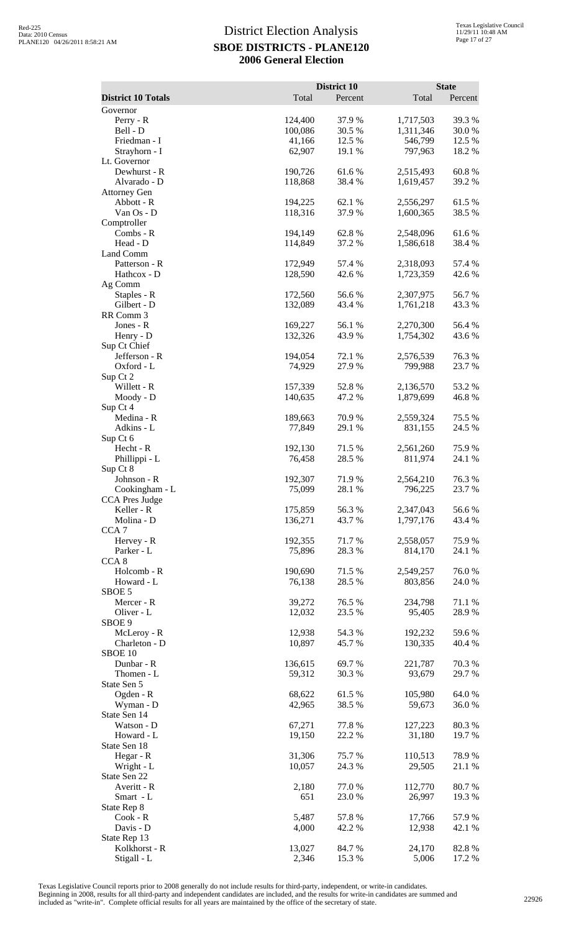|                                |                   | District 10      |                    | <b>State</b>   |
|--------------------------------|-------------------|------------------|--------------------|----------------|
| <b>District 10 Totals</b>      | Total             | Percent          | Total              | Percent        |
| Governor<br>Perry - R          | 124,400           | 37.9 %           | 1,717,503          | 39.3%          |
| Bell - D                       | 100,086           | 30.5 %           | 1,311,346          | 30.0%          |
| Friedman - I                   | 41,166            | 12.5 %           | 546,799            | 12.5 %         |
| Strayhorn - I                  | 62,907            | 19.1 %           | 797,963            | 18.2 %         |
| Lt. Governor<br>Dewhurst - R   | 190,726           | 61.6%            | 2,515,493          | 60.8%          |
| Alvarado - D                   | 118,868           | 38.4 %           | 1,619,457          | 39.2 %         |
| <b>Attorney Gen</b>            |                   |                  |                    |                |
| Abbott - R                     | 194,225           | 62.1 %           | 2,556,297          | 61.5%          |
| Van Os - D                     | 118,316           | 37.9%            | 1,600,365          | 38.5 %         |
| Comptroller<br>Combs - R       | 194,149           | 62.8%            | 2,548,096          | 61.6%          |
| Head - D                       | 114,849           | 37.2 %           | 1,586,618          | 38.4 %         |
| Land Comm                      |                   |                  |                    |                |
| Patterson - R                  | 172,949           | 57.4 %           | 2,318,093          | 57.4 %         |
| Hathcox - D<br>Ag Comm         | 128,590           | 42.6 %           | 1,723,359          | 42.6 %         |
| Staples - R                    | 172,560           | 56.6%            | 2,307,975          | 56.7%          |
| Gilbert - D                    | 132,089           | 43.4 %           | 1,761,218          | 43.3 %         |
| RR Comm 3                      |                   |                  |                    |                |
| Jones - R                      | 169,227           | 56.1 %           | 2,270,300          | 56.4 %         |
| Henry - D<br>Sup Ct Chief      | 132,326           | 43.9%            | 1,754,302          | 43.6 %         |
| Jefferson - R                  | 194,054           | 72.1 %           | 2,576,539          | 76.3%          |
| Oxford - L                     | 74,929            | 27.9 %           | 799,988            | 23.7 %         |
| Sup Ct 2                       |                   |                  |                    |                |
| Willett - R                    | 157,339           | 52.8%            | 2,136,570          | 53.2 %         |
| Moody - D<br>Sup Ct 4          | 140,635           | 47.2 %           | 1,879,699          | 46.8%          |
| Medina - R                     | 189,663           | 70.9 %           | 2,559,324          | 75.5 %         |
| Adkins - L                     | 77,849            | 29.1 %           | 831,155            | 24.5 %         |
| Sup Ct 6                       |                   |                  |                    |                |
| Hecht - R                      | 192,130           | 71.5 %           | 2,561,260          | 75.9%          |
| Phillippi - L<br>Sup Ct 8      | 76,458            | 28.5 %           | 811,974            | 24.1 %         |
| Johnson - R                    | 192,307           | 71.9%            | 2,564,210          | 76.3%          |
| Cookingham - L                 | 75,099            | 28.1 %           | 796,225            | 23.7 %         |
| <b>CCA Pres Judge</b>          |                   |                  |                    |                |
| Keller - R                     | 175,859           | 56.3%            | 2,347,043          | 56.6%          |
| Molina - D<br>CCA <sub>7</sub> | 136,271           | 43.7%            | 1,797,176          | 43.4 %         |
| Hervey - R                     | 192,355           | 71.7%            | 2,558,057          | 75.9%          |
| Parker - L                     | 75,896            | 28.3%            | 814,170            | 24.1 %         |
| CCA <sub>8</sub>               |                   |                  |                    |                |
| Holcomb - R<br>Howard - L      | 190,690<br>76,138 | 71.5 %<br>28.5 % | 2,549,257          | 76.0%<br>24.0% |
| SBOE 5                         |                   |                  | 803,856            |                |
| Mercer - R                     | 39,272            | 76.5 %           | 234,798            | 71.1 %         |
| Oliver - L                     | 12,032            | 23.5 %           | 95,405             | 28.9%          |
| SBOE 9                         |                   |                  |                    |                |
| McLeroy - R<br>Charleton - D   | 12,938<br>10,897  | 54.3 %<br>45.7%  | 192,232<br>130,335 | 59.6%          |
| SBOE 10                        |                   |                  |                    | 40.4 %         |
| Dunbar - R                     | 136,615           | 69.7%            | 221,787            | 70.3 %         |
| Thomen - L                     | 59,312            | 30.3%            | 93,679             | 29.7%          |
| State Sen 5                    |                   |                  |                    |                |
| Ogden - R                      | 68,622<br>42,965  | 61.5%<br>38.5 %  | 105,980            | 64.0%          |
| Wyman - D<br>State Sen 14      |                   |                  | 59,673             | 36.0%          |
| Watson - D                     | 67,271            | 77.8%            | 127,223            | 80.3%          |
| Howard - L                     | 19,150            | 22.2 %           | 31,180             | 19.7%          |
| State Sen 18                   |                   |                  |                    |                |
| Hegar - R                      | 31,306            | 75.7 %           | 110,513            | 78.9%          |
| Wright - L<br>State Sen 22     | 10,057            | 24.3 %           | 29,505             | 21.1 %         |
| Averitt - R                    | 2,180             | 77.0%            | 112,770            | 80.7%          |
| Smart - L                      | 651               | 23.0 %           | 26,997             | 19.3 %         |
| State Rep 8                    |                   |                  |                    |                |
| $Cook - R$                     | 5,487             | 57.8%            | 17,766             | 57.9%          |
| Davis - D<br>State Rep 13      | 4,000             | 42.2 %           | 12,938             | 42.1 %         |
| Kolkhorst - R                  | 13,027            | 84.7%            | 24,170             | 82.8%          |
| Stigall - L                    | 2,346             | 15.3 %           | 5,006              | 17.2 %         |

Texas Legislative Council reports prior to 2008 generally do not include results for third-party, independent, or write-in candidates.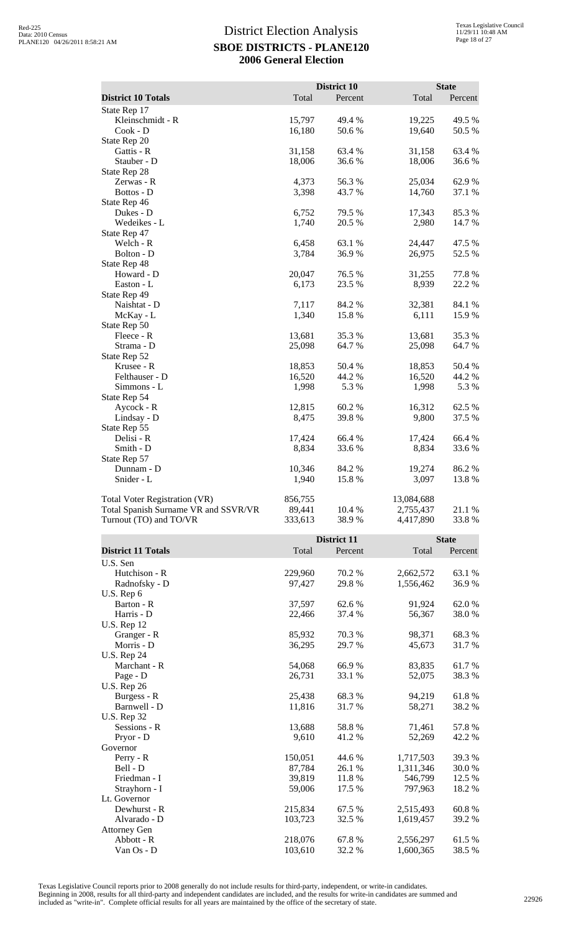|                                      |         | District 10 |            | <b>State</b> |
|--------------------------------------|---------|-------------|------------|--------------|
| <b>District 10 Totals</b>            | Total   | Percent     | Total      | Percent      |
| State Rep 17                         |         |             |            |              |
| Kleinschmidt - R                     | 15,797  | 49.4 %      | 19,225     | 49.5 %       |
| $Cook - D$                           | 16,180  | 50.6%       | 19,640     | 50.5 %       |
| State Rep 20                         |         |             |            |              |
| Gattis - R                           | 31,158  | 63.4 %      | 31,158     | 63.4 %       |
| Stauber - D                          | 18,006  | 36.6%       | 18,006     | 36.6%        |
| State Rep 28                         |         |             |            |              |
| Zerwas - R                           | 4,373   | 56.3%       | 25,034     | 62.9%        |
| Bottos - D                           | 3,398   | 43.7%       | 14,760     | 37.1 %       |
| State Rep 46                         |         |             |            |              |
| Dukes - D                            | 6,752   | 79.5 %      | 17,343     | 85.3%        |
| Wedeikes - L                         | 1,740   | 20.5 %      | 2,980      | 14.7 %       |
| State Rep 47                         |         |             |            |              |
| Welch - R                            | 6,458   | 63.1 %      | 24,447     | 47.5 %       |
| Bolton - D                           | 3,784   | 36.9%       | 26,975     | 52.5 %       |
| State Rep 48                         |         |             |            |              |
| Howard - D                           | 20,047  | 76.5 %      | 31,255     | 77.8%        |
| Easton - L                           | 6,173   | 23.5 %      | 8,939      | 22.2 %       |
| State Rep 49                         |         |             |            |              |
| Naishtat - D                         | 7,117   | 84.2 %      | 32,381     | 84.1 %       |
| McKay - L                            | 1,340   | 15.8%       | 6,111      | 15.9%        |
| State Rep 50                         |         |             |            |              |
| Fleece - R                           | 13,681  | 35.3%       | 13,681     | 35.3%        |
| Strama - D                           | 25,098  | 64.7%       | 25,098     | 64.7%        |
| State Rep 52                         |         |             |            |              |
| Krusee - R                           | 18,853  | 50.4 %      | 18,853     | 50.4 %       |
| Felthauser - D                       | 16,520  | 44.2 %      | 16,520     | 44.2 %       |
| Simmons - L                          | 1,998   | 5.3 %       | 1,998      | 5.3 %        |
| State Rep 54                         |         |             |            |              |
| Aycock - R                           | 12,815  | 60.2%       | 16,312     | 62.5 %       |
| Lindsay - D                          | 8,475   | 39.8%       | 9,800      | 37.5 %       |
| State Rep 55                         |         |             |            |              |
| Delisi - R                           | 17,424  | 66.4 %      | 17,424     | 66.4 %       |
| Smith - D                            | 8,834   | 33.6%       | 8,834      | 33.6%        |
| State Rep 57                         |         |             |            |              |
| Dunnam - D                           | 10,346  | 84.2 %      | 19,274     | 86.2%        |
| Snider - L                           | 1,940   | 15.8%       | 3,097      | 13.8 %       |
| <b>Total Voter Registration (VR)</b> | 856,755 |             | 13,084,688 |              |
| Total Spanish Surname VR and SSVR/VR | 89,441  | 10.4 %      | 2,755,437  | 21.1 %       |
| Turnout (TO) and TO/VR               | 333,613 | 38.9%       | 4,417,890  | 33.8%        |

|                           |         | District 11 |           |         |
|---------------------------|---------|-------------|-----------|---------|
| <b>District 11 Totals</b> | Total   | Percent     | Total     | Percent |
| U.S. Sen                  |         |             |           |         |
| Hutchison - R             | 229,960 | 70.2 %      | 2,662,572 | 63.1 %  |
| Radnofsky - D             | 97,427  | 29.8%       | 1,556,462 | 36.9%   |
| U.S. Rep 6                |         |             |           |         |
| Barton - R                | 37,597  | 62.6 %      | 91,924    | 62.0%   |
| Harris - D                | 22,466  | 37.4 %      | 56,367    | 38.0%   |
| <b>U.S. Rep 12</b>        |         |             |           |         |
| Granger - R               | 85,932  | 70.3 %      | 98,371    | 68.3%   |
| Morris - D                | 36,295  | 29.7 %      | 45,673    | 31.7 %  |
| <b>U.S. Rep 24</b>        |         |             |           |         |
| Marchant - R              | 54,068  | 66.9%       | 83,835    | 61.7%   |
| Page - D                  | 26,731  | 33.1 %      | 52,075    | 38.3 %  |
| <b>U.S. Rep 26</b>        |         |             |           |         |
| Burgess - R               | 25,438  | 68.3 %      | 94,219    | 61.8%   |
| Barnwell - D              | 11,816  | 31.7 %      | 58,271    | 38.2 %  |
| <b>U.S. Rep 32</b>        |         |             |           |         |
| Sessions - R              | 13,688  | 58.8%       | 71,461    | 57.8%   |
| Pryor - D                 | 9,610   | 41.2%       | 52,269    | 42.2 %  |
| Governor                  |         |             |           |         |
| Perry - R                 | 150,051 | 44.6 %      | 1,717,503 | 39.3%   |
| Bell - D                  | 87,784  | 26.1 %      | 1,311,346 | 30.0%   |
| Friedman - I              | 39,819  | 11.8%       | 546,799   | 12.5 %  |
| Strayhorn - I             | 59,006  | 17.5 %      | 797,963   | 18.2 %  |
| Lt. Governor              |         |             |           |         |
| Dewhurst - R              | 215,834 | 67.5 %      | 2,515,493 | 60.8%   |
| Alvarado - D              | 103,723 | 32.5 %      | 1,619,457 | 39.2 %  |
| <b>Attorney Gen</b>       |         |             |           |         |
| Abbott - R                | 218,076 | 67.8%       | 2,556,297 | 61.5 %  |
| Van Os - D                | 103,610 | 32.2 %      | 1,600,365 | 38.5 %  |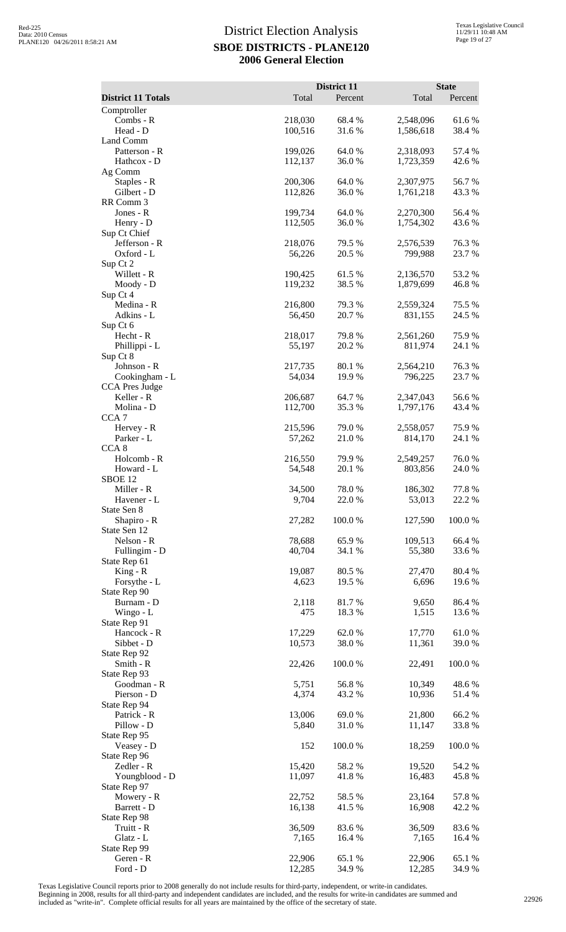| <b>District 11 Totals</b>           | Total              | District 11<br>Percent | Total                  | <b>State</b><br>Percent |
|-------------------------------------|--------------------|------------------------|------------------------|-------------------------|
| Comptroller                         |                    |                        |                        |                         |
| Combs - R<br>Head - D               | 218,030<br>100,516 | 68.4 %<br>31.6%        | 2,548,096<br>1,586,618 | 61.6%<br>38.4%          |
| Land Comm                           |                    |                        |                        |                         |
| Patterson - R                       | 199,026            | 64.0 %<br>36.0%        | 2,318,093              | 57.4 %                  |
| Hathcox - D<br>Ag Comm              | 112,137            |                        | 1,723,359              | 42.6 %                  |
| Staples - R                         | 200,306            | 64.0%                  | 2,307,975              | 56.7%                   |
| Gilbert - D<br>RR Comm 3            | 112,826            | 36.0%                  | 1,761,218              | 43.3 %                  |
| Jones - R                           | 199,734            | 64.0 %                 | 2,270,300              | 56.4 %                  |
| Henry - D                           | 112,505            | 36.0%                  | 1,754,302              | 43.6 %                  |
| Sup Ct Chief<br>Jefferson - R       | 218,076            | 79.5 %                 | 2,576,539              | 76.3%                   |
| Oxford - L                          | 56,226             | 20.5 %                 | 799,988                | 23.7 %                  |
| Sup Ct 2<br>Willett - R             | 190,425            | 61.5%                  | 2,136,570              | 53.2%                   |
| Moody - D                           | 119,232            | 38.5 %                 | 1,879,699              | 46.8%                   |
| Sup Ct 4                            |                    |                        |                        |                         |
| Medina - R<br>Adkins - L            | 216,800<br>56,450  | 79.3 %<br>20.7 %       | 2,559,324<br>831,155   | 75.5 %<br>24.5 %        |
| Sup Ct 6                            |                    |                        |                        |                         |
| Hecht - R                           | 218,017            | 79.8%                  | 2,561,260              | 75.9%                   |
| Phillippi - L<br>Sup Ct 8           | 55,197             | 20.2 %                 | 811,974                | 24.1 %                  |
| Johnson - R                         | 217,735            | 80.1%                  | 2,564,210              | 76.3%                   |
| Cookingham - L                      | 54,034             | 19.9%                  | 796,225                | 23.7 %                  |
| <b>CCA Pres Judge</b><br>Keller - R | 206,687            | 64.7 %                 | 2,347,043              | 56.6%                   |
| Molina - D                          | 112,700            | 35.3%                  | 1,797,176              | 43.4 %                  |
| CCA <sub>7</sub><br>Hervey - R      | 215,596            | 79.0 %                 | 2,558,057              | 75.9%                   |
| Parker - L                          | 57,262             | 21.0 %                 | 814,170                | 24.1 %                  |
| CCA <sub>8</sub>                    |                    |                        |                        |                         |
| Holcomb - R<br>Howard - L           | 216,550<br>54,548  | 79.9 %<br>20.1 %       | 2,549,257<br>803,856   | 76.0%<br>24.0%          |
| SBOE <sub>12</sub>                  |                    |                        |                        |                         |
| Miller - R                          | 34,500<br>9,704    | 78.0%                  | 186,302<br>53,013      | 77.8%                   |
| Havener - L<br>State Sen 8          |                    | 22.0 %                 |                        | 22.2 %                  |
| Shapiro - R                         | 27,282             | 100.0%                 | 127,590                | 100.0%                  |
| State Sen 12<br>Nelson - R          | 78,688             | 65.9%                  | 109,513                | 66.4%                   |
| Fullingim - D                       | 40,704             | 34.1 %                 | 55,380                 | 33.6 %                  |
| State Rep 61                        |                    |                        |                        |                         |
| $King - R$<br>Forsythe - L          | 19,087<br>4,623    | 80.5 %<br>19.5 %       | 27,470<br>6,696        | 80.4%<br>19.6 %         |
| State Rep 90                        |                    |                        |                        |                         |
| Burnam - D<br>Wingo - L             | 2,118<br>475       | 81.7%<br>18.3 %        | 9,650<br>1,515         | 86.4%<br>13.6 %         |
| State Rep 91                        |                    |                        |                        |                         |
| Hancock - R                         | 17,229             | 62.0%                  | 17,770                 | 61.0%                   |
| Sibbet - D<br>State Rep 92          | 10,573             | 38.0%                  | 11,361                 | 39.0 %                  |
| Smith - R                           | 22,426             | 100.0%                 | 22,491                 | 100.0%                  |
| State Rep 93<br>Goodman - R         | 5,751              | 56.8%                  | 10,349                 | 48.6%                   |
| Pierson - D                         | 4,374              | 43.2 %                 | 10,936                 | 51.4%                   |
| State Rep 94                        |                    |                        |                        |                         |
| Patrick - R<br>Pillow - D           | 13,006<br>5,840    | 69.0%<br>31.0%         | 21,800<br>11,147       | 66.2%<br>33.8%          |
| State Rep 95                        |                    |                        |                        |                         |
| Veasey - D                          | 152                | 100.0%                 | 18,259                 | 100.0%                  |
| State Rep 96<br>Zedler - R          | 15,420             | 58.2%                  | 19,520                 | 54.2 %                  |
| Youngblood - D                      | 11,097             | 41.8%                  | 16,483                 | 45.8%                   |
| State Rep 97<br>Mowery - R          | 22,752             | 58.5 %                 |                        |                         |
| Barrett - D                         | 16,138             | 41.5 %                 | 23,164<br>16,908       | 57.8%<br>42.2 %         |
| State Rep 98                        |                    |                        |                        |                         |
| Truitt - R<br>Glatz - L             | 36,509<br>7,165    | 83.6%<br>16.4 %        | 36,509<br>7,165        | 83.6%<br>16.4 %         |
| State Rep 99                        |                    |                        |                        |                         |
| Geren - R                           | 22,906             | 65.1 %                 | 22,906                 | 65.1 %                  |
| Ford - D                            | 12,285             | 34.9 %                 | 12,285                 | 34.9%                   |

Texas Legislative Council reports prior to 2008 generally do not include results for third-party, independent, or write-in candidates.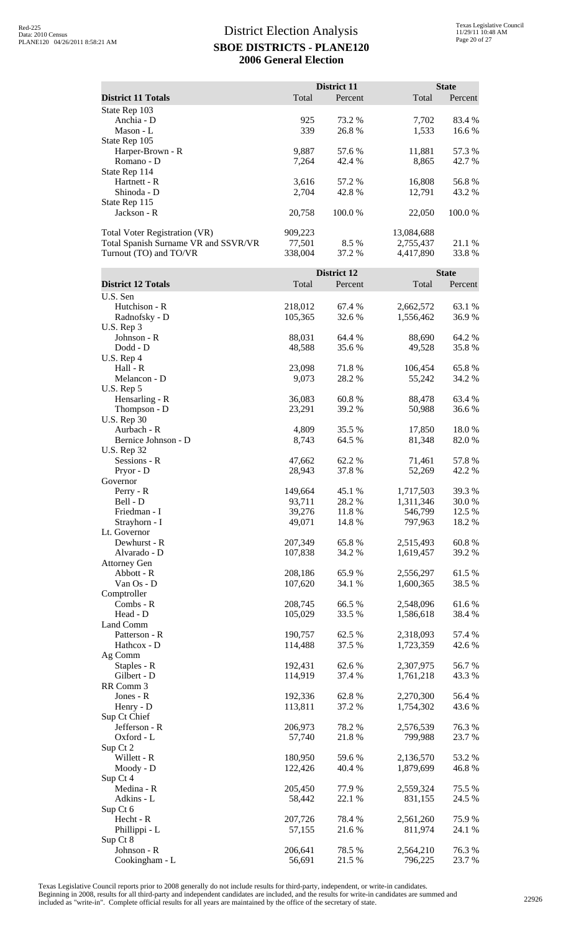|                                                                                                        |                              | District 11      |                                      | <b>State</b>     |
|--------------------------------------------------------------------------------------------------------|------------------------------|------------------|--------------------------------------|------------------|
| <b>District 11 Totals</b>                                                                              | Total                        | Percent          | Total                                | Percent          |
| State Rep 103<br>Anchia - D<br>Mason - L                                                               | 925<br>339                   | 73.2 %<br>26.8%  | 7,702<br>1,533                       | 83.4 %<br>16.6 % |
| State Rep 105<br>Harper-Brown - R<br>Romano - D<br>State Rep 114                                       | 9,887<br>7,264               | 57.6 %<br>42.4 % | 11,881<br>8,865                      | 57.3 %<br>42.7 % |
| Hartnett - R<br>Shinoda - D<br>State Rep 115                                                           | 3,616<br>2,704               | 57.2 %<br>42.8%  | 16,808<br>12,791                     | 56.8%<br>43.2 %  |
| Jackson - R                                                                                            | 20,758                       | 100.0%           | 22,050                               | 100.0%           |
| <b>Total Voter Registration (VR)</b><br>Total Spanish Surname VR and SSVR/VR<br>Turnout (TO) and TO/VR | 909,223<br>77,501<br>338,004 | 8.5 %<br>37.2 %  | 13,084,688<br>2,755,437<br>4,417,890 | 21.1 %<br>33.8%  |
|                                                                                                        |                              | District 12      |                                      | <b>State</b>     |
| <b>District 12 Totals</b>                                                                              | Total                        | Percent          | Total                                | Percent          |
| U.S. Sen<br>Hutchison - R<br>Radnofsky - D<br>U.S. Rep 3                                               | 218,012<br>105,365           | 67.4 %<br>32.6 % | 2,662,572<br>1,556,462               | 63.1 %<br>36.9%  |
| Johnson - R<br>Dodd - D<br>U.S. Rep 4                                                                  | 88,031<br>48,588             | 64.4 %<br>35.6%  | 88,690<br>49,528                     | 64.2 %<br>35.8%  |
| Hall - R<br>Melancon - D<br>U.S. Rep 5                                                                 | 23,098<br>9,073              | 71.8%<br>28.2 %  | 106,454<br>55,242                    | 65.8%<br>34.2 %  |
| Hensarling - R<br>Thompson - D<br><b>U.S. Rep 30</b>                                                   | 36,083<br>23,291             | 60.8%<br>39.2 %  | 88,478<br>50,988                     | 63.4 %<br>36.6 % |
| Aurbach - R<br>Bernice Johnson - D<br><b>U.S. Rep 32</b>                                               | 4,809<br>8,743               | 35.5 %<br>64.5 % | 17,850<br>81,348                     | 18.0%<br>82.0%   |
| Sessions - R<br>Pryor - D<br>Governor                                                                  | 47,662<br>28,943             | 62.2%<br>37.8%   | 71,461<br>52,269                     | 57.8%<br>42.2 %  |
| Perry - R<br>Bell - D                                                                                  | 149,664<br>93,711            | 45.1 %<br>28.2 % | 1,717,503<br>1,311,346               | 39.3%<br>30.0 %  |
| Friedman - I<br>Strayhorn - I<br>Lt. Governor                                                          | 39,276<br>49,071             | 11.8%<br>14.8 %  | 546,799<br>797,963                   | 12.5 %<br>18.2 % |
| Dewhurst - R<br>Alvarado - D<br><b>Attorney Gen</b>                                                    | 207,349<br>107,838           | 65.8%<br>34.2 %  | 2,515,493<br>1,619,457               | 60.8%<br>39.2 %  |
| Abbott - R<br>Van Os - D<br>Comptroller                                                                | 208,186<br>107,620           | 65.9%<br>34.1 %  | 2,556,297<br>1,600,365               | 61.5%<br>38.5 %  |
| Combs - R<br>Head - D<br>Land Comm                                                                     | 208,745<br>105,029           | 66.5 %<br>33.5 % | 2,548,096<br>1,586,618               | 61.6%<br>38.4 %  |
| Patterson - R<br>Hathcox - D<br>Ag Comm                                                                | 190,757<br>114,488           | 62.5 %<br>37.5 % | 2,318,093<br>1,723,359               | 57.4 %<br>42.6 % |
| Staples - R<br>Gilbert - D<br>RR Comm 3                                                                | 192,431<br>114,919           | 62.6 %<br>37.4 % | 2,307,975<br>1,761,218               | 56.7%<br>43.3 %  |
| Jones - R<br>Henry - D<br>Sup Ct Chief                                                                 | 192,336<br>113,811           | 62.8%<br>37.2 %  | 2,270,300<br>1,754,302               | 56.4 %<br>43.6 % |
| Jefferson - R<br>Oxford - L<br>Sup Ct 2                                                                | 206,973<br>57,740            | 78.2%<br>21.8%   | 2,576,539<br>799,988                 | 76.3%<br>23.7 %  |
| Willett - R<br>Moody - D<br>Sup Ct 4                                                                   | 180,950<br>122,426           | 59.6%<br>40.4 %  | 2,136,570<br>1,879,699               | 53.2 %<br>46.8%  |
| Medina - R<br>Adkins - L<br>Sup Ct 6                                                                   | 205,450<br>58,442            | 77.9%<br>22.1 %  | 2,559,324<br>831,155                 | 75.5 %<br>24.5 % |
| Hecht - R<br>Phillippi - L                                                                             | 207,726<br>57,155            | 78.4 %<br>21.6%  | 2,561,260<br>811,974                 | 75.9%<br>24.1 %  |
| Sup Ct 8<br>Johnson - R<br>Cookingham - L                                                              | 206,641<br>56,691            | 78.5 %<br>21.5 % | 2,564,210<br>796,225                 | 76.3%<br>23.7 %  |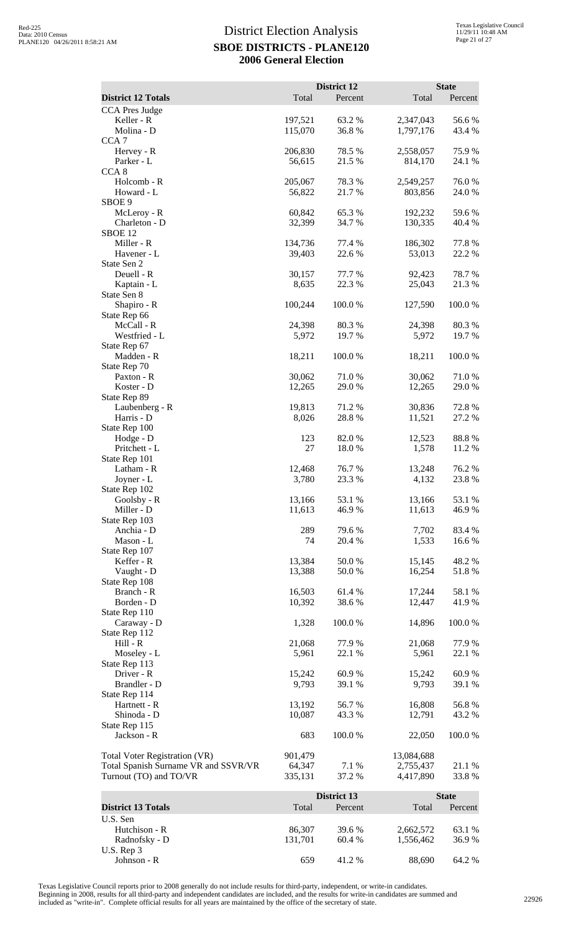|                                                                |                   | District 12      |                        | <b>State</b>    |
|----------------------------------------------------------------|-------------------|------------------|------------------------|-----------------|
| <b>District 12 Totals</b><br><b>CCA Pres Judge</b>             | Total             | Percent          | Total                  | Percent         |
| Keller - R                                                     | 197,521           | 63.2 %           | 2,347,043              | 56.6%           |
| Molina - D                                                     | 115,070           | 36.8%            | 1,797,176              | 43.4 %          |
| CCA <sub>7</sub><br>Hervey - R                                 | 206,830           | 78.5 %           | 2,558,057              | 75.9%           |
| Parker - L                                                     | 56,615            | 21.5 %           | 814,170                | 24.1 %          |
| CCA <sub>8</sub>                                               |                   |                  |                        |                 |
| Holcomb - R<br>Howard - L                                      | 205,067<br>56,822 | 78.3%<br>21.7 %  | 2,549,257<br>803,856   | 76.0%<br>24.0 % |
| SBOE 9                                                         |                   |                  |                        |                 |
| McLeroy - R<br>Charleton - D                                   | 60,842<br>32,399  | 65.3 %<br>34.7 % | 192,232<br>130,335     | 59.6%<br>40.4 % |
| SBOE <sub>12</sub>                                             |                   |                  |                        |                 |
| Miller - R                                                     | 134,736           | 77.4 %           | 186,302                | 77.8 %          |
| Havener - L<br>State Sen 2                                     | 39,403            | 22.6 %           | 53,013                 | 22.2 %          |
| Deuell - R                                                     | 30,157            | 77.7 %           | 92,423                 | 78.7%           |
| Kaptain - L<br>State Sen 8                                     | 8,635             | 22.3 %           | 25,043                 | 21.3%           |
| Shapiro - R                                                    | 100,244           | 100.0%           | 127,590                | 100.0%          |
| State Rep 66                                                   |                   |                  |                        |                 |
| McCall - R<br>Westfried - L                                    | 24,398<br>5,972   | 80.3%<br>19.7%   | 24,398<br>5,972        | 80.3%<br>19.7%  |
| State Rep 67                                                   |                   |                  |                        |                 |
| Madden - R                                                     | 18,211            | 100.0%           | 18,211                 | 100.0%          |
| State Rep 70<br>Paxton - R                                     | 30,062            | 71.0%            | 30,062                 | 71.0%           |
| Koster - D                                                     | 12,265            | 29.0%            | 12,265                 | 29.0%           |
| State Rep 89<br>Laubenberg - R                                 | 19,813            | 71.2 %           | 30,836                 | 72.8%           |
| Harris - D                                                     | 8,026             | 28.8%            | 11,521                 | 27.2 %          |
| State Rep 100                                                  |                   |                  |                        |                 |
| Hodge - D<br>Pritchett - L                                     | 123<br>27         | 82.0 %<br>18.0%  | 12,523<br>1,578        | 88.8%<br>11.2 % |
| State Rep 101                                                  |                   |                  |                        |                 |
| Latham - R                                                     | 12,468            | 76.7%            | 13,248                 | 76.2 %          |
| Joyner - L<br>State Rep 102                                    | 3,780             | 23.3 %           | 4,132                  | 23.8%           |
| Goolsby - R                                                    | 13,166            | 53.1 %           | 13,166                 | 53.1 %          |
| Miller - D<br>State Rep 103                                    | 11,613            | 46.9%            | 11,613                 | 46.9%           |
| Anchia - D                                                     | 289               | 79.6%            | 7,702                  | 83.4 %          |
| Mason - L                                                      | 74                | 20.4 %           | 1,533                  | 16.6 %          |
| State Rep 107<br>Keffer - R                                    | 13,384            | 50.0%            | 15,145                 | 48.2 %          |
| Vaught - D                                                     | 13,388            | 50.0%            | 16,254                 | 51.8%           |
| State Rep 108<br>Branch - R                                    | 16,503            | 61.4%            | 17,244                 | 58.1 %          |
| Borden - D                                                     | 10,392            | 38.6%            | 12,447                 | 41.9%           |
| State Rep 110                                                  |                   |                  |                        |                 |
| Caraway - D<br>State Rep 112                                   | 1,328             | 100.0%           | 14,896                 | 100.0%          |
| $Hill - R$                                                     | 21,068            | 77.9 %           | 21,068                 | 77.9 %          |
| Moseley - L                                                    | 5,961             | 22.1 %           | 5,961                  | 22.1 %          |
| State Rep 113<br>Driver - R                                    | 15,242            | 60.9 %           | 15,242                 | 60.9%           |
| Brandler - D                                                   | 9,793             | 39.1 %           | 9,793                  | 39.1 %          |
| State Rep 114<br>Hartnett - R                                  | 13,192            | 56.7%            | 16,808                 | 56.8%           |
| Shinoda - D                                                    | 10,087            | 43.3 %           | 12,791                 | 43.2 %          |
| State Rep 115                                                  |                   |                  |                        |                 |
| Jackson - R                                                    | 683               | 100.0%           | 22,050                 | 100.0%          |
| <b>Total Voter Registration (VR)</b>                           | 901,479           |                  | 13,084,688             |                 |
| Total Spanish Surname VR and SSVR/VR<br>Turnout (TO) and TO/VR | 64,347<br>335,131 | 7.1 %<br>37.2 %  | 2,755,437<br>4,417,890 | 21.1 %<br>33.8% |
|                                                                |                   |                  |                        |                 |
|                                                                |                   | District 13      |                        | <b>State</b>    |
| <b>District 13 Totals</b><br>U.S. Sen                          | Total             | Percent          | Total                  | Percent         |
| Hutchison - R                                                  | 86,307            | 39.6 %           | 2,662,572              | 63.1 %          |
| Radnofsky - D                                                  | 131,701           | 60.4%            | 1,556,462              | 36.9%           |
| U.S. Rep 3<br>Johnson - R                                      | 659               | 41.2%            | 88,690                 | 64.2 %          |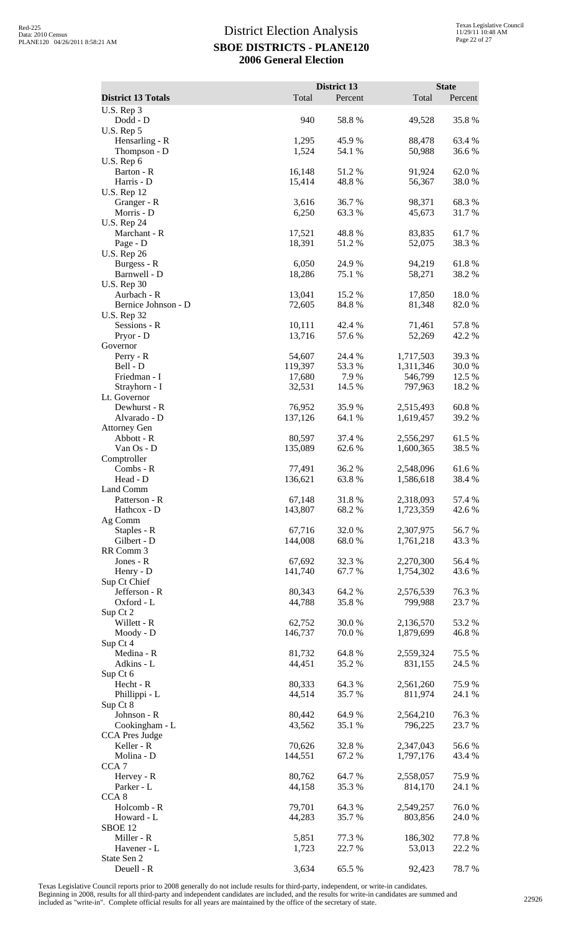|                                     |                  | District 13     |                      | <b>State</b>    |
|-------------------------------------|------------------|-----------------|----------------------|-----------------|
| <b>District 13 Totals</b>           | Total            | Percent         | Total                | Percent         |
| U.S. Rep 3<br>Dodd - D              | 940              | 58.8%           | 49,528               | 35.8%           |
| U.S. Rep 5                          |                  |                 |                      |                 |
| Hensarling - R                      | 1,295            | 45.9%           | 88,478               | 63.4 %          |
| Thompson - D<br>U.S. Rep 6          | 1,524            | 54.1 %          | 50,988               | 36.6%           |
| Barton - R                          | 16,148           | 51.2%           | 91,924               | 62.0%           |
| Harris - D                          | 15,414           | 48.8%           | 56,367               | $38.0\;\%$      |
| <b>U.S. Rep 12</b><br>Granger - R   | 3,616            | 36.7%           | 98,371               | 68.3%           |
| Morris - D                          | 6,250            | 63.3%           | 45,673               | 31.7%           |
| <b>U.S. Rep 24</b>                  |                  |                 |                      |                 |
| Marchant - R                        | 17,521<br>18,391 | 48.8%<br>51.2%  | 83,835               | 61.7%           |
| Page - D<br><b>U.S. Rep 26</b>      |                  |                 | 52,075               | 38.3%           |
| Burgess - R                         | 6,050            | 24.9%           | 94,219               | 61.8%           |
| Barnwell - D                        | 18,286           | 75.1 %          | 58,271               | 38.2%           |
| <b>U.S. Rep 30</b><br>Aurbach - R   | 13,041           | 15.2 %          | 17,850               | 18.0%           |
| Bernice Johnson - D                 | 72,605           | 84.8%           | 81,348               | 82.0%           |
| <b>U.S. Rep 32</b>                  |                  |                 |                      |                 |
| Sessions - R<br>Pryor - D           | 10,111<br>13,716 | 42.4 %<br>57.6% | 71,461<br>52,269     | 57.8%<br>42.2 % |
| Governor                            |                  |                 |                      |                 |
| Perry - R                           | 54,607           | 24.4 %          | 1,717,503            | 39.3%           |
| Bell - D                            | 119,397          | 53.3%           | 1,311,346            | 30.0%           |
| Friedman - I<br>Strayhorn - I       | 17,680<br>32,531 | 7.9%<br>14.5 %  | 546,799<br>797,963   | 12.5 %<br>18.2% |
| Lt. Governor                        |                  |                 |                      |                 |
| Dewhurst - R                        | 76,952           | 35.9%           | 2,515,493            | 60.8%           |
| Alvarado - D<br><b>Attorney Gen</b> | 137,126          | 64.1 %          | 1,619,457            | 39.2 %          |
| Abbott - R                          | 80,597           | 37.4 %          | 2,556,297            | 61.5%           |
| Van Os - D                          | 135,089          | 62.6%           | 1,600,365            | 38.5 %          |
| Comptroller<br>Combs - R            | 77,491           | 36.2%           | 2,548,096            | 61.6%           |
| Head - D                            | 136,621          | 63.8%           | 1,586,618            | 38.4%           |
| Land Comm                           |                  |                 |                      |                 |
| Patterson - R                       | 67,148           | 31.8%           | 2,318,093            | 57.4 %          |
| Hathcox - D<br>Ag Comm              | 143,807          | 68.2%           | 1,723,359            | 42.6 %          |
| Staples - R                         | 67,716           | 32.0%           | 2,307,975            | 56.7%           |
| Gilbert - D                         | 144,008          | 68.0%           | 1,761,218            | 43.3%           |
| RR Comm 3<br>Jones - R              | 67,692           | 32.3 %          | 2,270,300            | 56.4 %          |
| Henry - D                           | 141,740          | 67.7%           | 1,754,302            | 43.6%           |
| Sup Ct Chief                        |                  |                 |                      |                 |
| Jefferson - R<br>Oxford - L         | 80,343<br>44,788 | 64.2 %<br>35.8% | 2,576,539<br>799,988 | 76.3%<br>23.7%  |
| Sup Ct 2                            |                  |                 |                      |                 |
| Willett - R                         | 62,752           | 30.0%           | 2,136,570            | 53.2 %          |
| Moody - D                           | 146,737          | 70.0 %          | 1,879,699            | 46.8%           |
| Sup Ct 4<br>Medina - R              | 81,732           | 64.8%           | 2,559,324            | 75.5 %          |
| Adkins - L                          | 44,451           | 35.2 %          | 831,155              | 24.5 %          |
| Sup Ct 6                            |                  |                 |                      |                 |
| Hecht - R                           | 80,333<br>44,514 | 64.3 %<br>35.7% | 2,561,260<br>811,974 | 75.9%<br>24.1 % |
| Phillippi - L<br>Sup Ct 8           |                  |                 |                      |                 |
| Johnson - R                         | 80,442           | 64.9%           | 2,564,210            | 76.3%           |
| Cookingham - L                      | 43,562           | 35.1 %          | 796,225              | 23.7 %          |
| <b>CCA Pres Judge</b><br>Keller - R | 70,626           | 32.8 %          | 2,347,043            | 56.6 %          |
| Molina - D                          | 144,551          | 67.2%           | 1,797,176            | 43.4 %          |
| CCA <sub>7</sub>                    |                  |                 |                      |                 |
| Hervey - R<br>Parker - L            | 80,762<br>44,158 | 64.7%<br>35.3 % | 2,558,057<br>814,170 | 75.9%<br>24.1 % |
| CCA <sub>8</sub>                    |                  |                 |                      |                 |
| Holcomb - R                         | 79,701           | 64.3%           | 2,549,257            | 76.0%           |
| Howard - L                          | 44,283           | 35.7 %          | 803,856              | 24.0 %          |
| SBOE <sub>12</sub><br>Miller - R    | 5,851            | 77.3 %          | 186,302              | 77.8%           |
| Havener - L                         | 1,723            | 22.7 %          | 53,013               | 22.2 %          |
| State Sen 2                         |                  |                 |                      |                 |
| Deuell - R                          | 3,634            | 65.5 %          | 92,423               | 78.7%           |

Texas Legislative Council reports prior to 2008 generally do not include results for third-party, independent, or write-in candidates.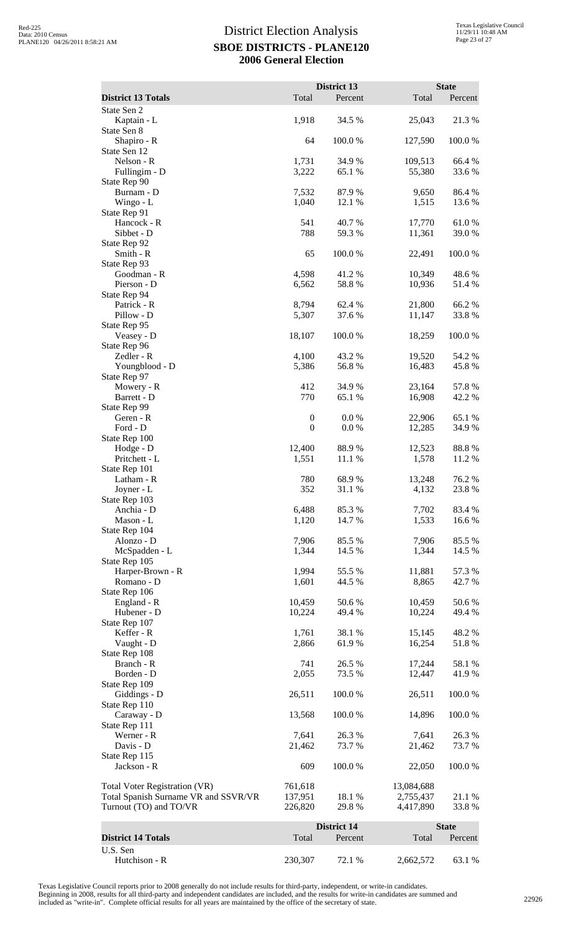|                                                                |                    | District 13      |                        | <b>State</b>     |
|----------------------------------------------------------------|--------------------|------------------|------------------------|------------------|
| <b>District 13 Totals</b>                                      | Total              | Percent          | Total                  | Percent          |
| State Sen 2<br>Kaptain - L                                     | 1,918              | 34.5 %           | 25,043                 | 21.3 %           |
| State Sen 8                                                    |                    |                  |                        |                  |
| Shapiro - R<br>State Sen 12                                    | 64                 | 100.0%           | 127,590                | 100.0 %          |
| Nelson - R                                                     | 1,731              | 34.9 %           | 109,513                | 66.4 %           |
| Fullingim - D<br>State Rep 90                                  | 3,222              | 65.1 %           | 55,380                 | 33.6 %           |
| Burnam - D                                                     | 7,532              | 87.9 %           | 9,650                  | 86.4 %           |
| Wingo - L                                                      | 1,040              | 12.1 %           | 1,515                  | 13.6 %           |
| State Rep 91<br>Hancock - R                                    | 541                | 40.7%            | 17,770                 | 61.0%            |
| Sibbet - D                                                     | 788                | 59.3 %           | 11,361                 | 39.0 %           |
| State Rep 92<br>Smith - R                                      | 65                 | 100.0%           | 22,491                 | 100.0%           |
| State Rep 93                                                   |                    |                  |                        |                  |
| Goodman - R<br>Pierson - D                                     | 4,598<br>6,562     | 41.2%<br>58.8%   | 10,349<br>10,936       | 48.6 %<br>51.4%  |
| State Rep 94                                                   |                    |                  |                        |                  |
| Patrick - R                                                    | 8,794              | 62.4 %           | 21,800                 | 66.2%            |
| Pillow - D<br>State Rep 95                                     | 5,307              | 37.6 %           | 11,147                 | 33.8%            |
| Veasey - D                                                     | 18,107             | 100.0%           | 18,259                 | 100.0%           |
| State Rep 96                                                   |                    |                  |                        |                  |
| Zedler - R<br>Youngblood - D                                   | 4,100<br>5,386     | 43.2 %<br>56.8%  | 19,520<br>16,483       | 54.2 %<br>45.8%  |
| State Rep 97                                                   |                    |                  |                        |                  |
| Mowery - R                                                     | 412<br>770         | 34.9 %<br>65.1 % | 23,164                 | 57.8%            |
| Barrett - D<br>State Rep 99                                    |                    |                  | 16,908                 | 42.2 %           |
| Geren - R                                                      | $\boldsymbol{0}$   | 0.0 %            | 22,906                 | 65.1 %           |
| Ford - D<br>State Rep 100                                      | $\boldsymbol{0}$   | 0.0 %            | 12,285                 | 34.9%            |
| Hodge - D                                                      | 12,400             | 88.9%            | 12,523                 | 88.8%            |
| Pritchett - L                                                  | 1,551              | 11.1 %           | 1,578                  | 11.2 %           |
| State Rep 101<br>Latham - R                                    | 780                | 68.9%            | 13,248                 | 76.2%            |
| Joyner - L                                                     | 352                | 31.1 %           | 4,132                  | 23.8 %           |
| State Rep 103<br>Anchia - D                                    | 6,488              | 85.3%            | 7,702                  | 83.4 %           |
| Mason - L                                                      | 1,120              | 14.7 %           | 1,533                  | 16.6%            |
| State Rep 104                                                  |                    |                  |                        |                  |
| Alonzo - D<br>McSpadden - L                                    | 7,906<br>1,344     | 85.5 %<br>14.5 % | 7,906<br>1,344         | 85.5 %<br>14.5 % |
| State Rep 105                                                  |                    |                  |                        |                  |
| Harper-Brown - R                                               | 1,994              | 55.5 %           | 11,881                 | 57.3 %           |
| Romano - D<br>State Rep 106                                    | 1,601              | 44.5 %           | 8,865                  | 42.7 %           |
| England - R                                                    | 10,459             | 50.6%            | 10,459                 | 50.6%            |
| Hubener - D<br>State Rep 107                                   | 10,224             | 49.4 %           | 10,224                 | 49.4 %           |
| Keffer - R                                                     | 1,761              | 38.1 %           | 15,145                 | 48.2%            |
| Vaught - D                                                     | 2,866              | 61.9 %           | 16,254                 | 51.8%            |
| State Rep 108<br>Branch - R                                    | 741                | 26.5 %           | 17,244                 | 58.1 %           |
| Borden - D                                                     | 2,055              | 73.5 %           | 12,447                 | 41.9%            |
| State Rep 109                                                  |                    |                  |                        |                  |
| Giddings - D<br>State Rep 110                                  | 26,511             | $100.0~\%$       | 26,511                 | 100.0%           |
| Caraway - D                                                    | 13,568             | 100.0%           | 14,896                 | 100.0%           |
| State Rep 111<br>Werner - R                                    | 7,641              | 26.3 %           | 7,641                  | 26.3%            |
| Davis - D                                                      | 21,462             | 73.7 %           | 21,462                 | 73.7 %           |
| State Rep 115                                                  |                    |                  |                        |                  |
| Jackson - R                                                    | 609                | 100.0%           | 22,050                 | 100.0%           |
| Total Voter Registration (VR)                                  | 761,618            |                  | 13,084,688             |                  |
| Total Spanish Surname VR and SSVR/VR<br>Turnout (TO) and TO/VR | 137,951<br>226,820 | 18.1 %<br>29.8 % | 2,755,437<br>4,417,890 | 21.1 %<br>33.8%  |
|                                                                |                    |                  |                        |                  |
|                                                                |                    | District 14      |                        | <b>State</b>     |
| <b>District 14 Totals</b><br>U.S. Sen                          | Total              | Percent          | Total                  | Percent          |
| Hutchison - R                                                  | 230,307            | 72.1 %           | 2,662,572              | 63.1 %           |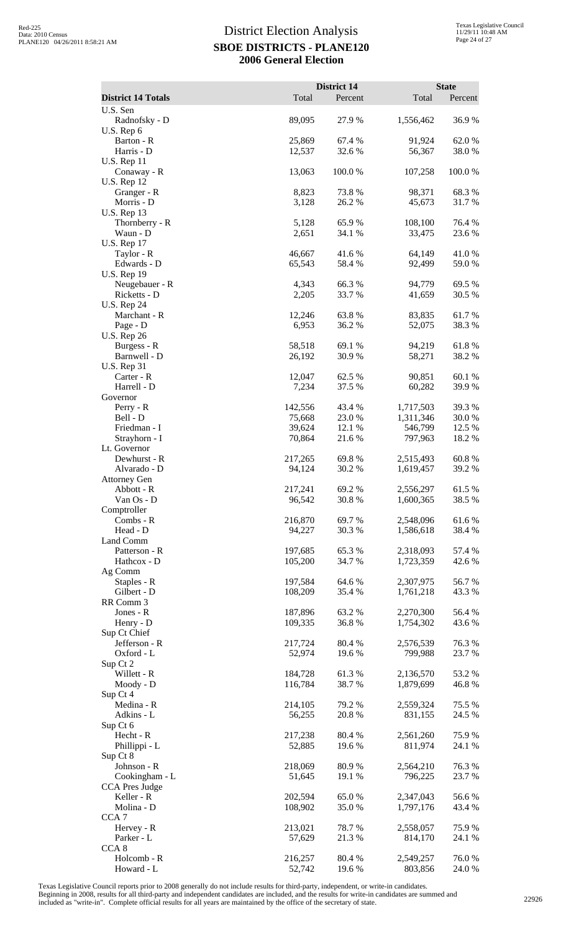| <b>District 14 Totals</b>                               | Total              | District 14<br>Percent | Total                  | <b>State</b><br>Percent |
|---------------------------------------------------------|--------------------|------------------------|------------------------|-------------------------|
| U.S. Sen                                                |                    |                        |                        |                         |
| Radnofsky - D<br>U.S. Rep 6                             | 89,095             | 27.9%                  | 1,556,462              | 36.9%                   |
| Barton - R<br>Harris - D                                | 25,869<br>12,537   | 67.4 %<br>32.6 %       | 91,924<br>56,367       | 62.0%<br>38.0%          |
| <b>U.S. Rep 11</b><br>Conaway - R<br><b>U.S. Rep 12</b> | 13,063             | 100.0 %                | 107,258                | 100.0%                  |
| Granger - R<br>Morris - D                               | 8,823<br>3,128     | 73.8%<br>26.2%         | 98,371<br>45,673       | 68.3%<br>31.7%          |
| <b>U.S. Rep 13</b><br>Thornberry - R                    | 5,128              | 65.9%                  | 108,100                | 76.4 %                  |
| Waun - D<br><b>U.S. Rep 17</b>                          | 2,651<br>46,667    | 34.1 %<br>41.6%        | 33,475<br>64,149       | 23.6 %<br>41.0%         |
| Taylor - R<br>Edwards - D<br><b>U.S. Rep 19</b>         | 65,543             | 58.4%                  | 92,499                 | 59.0%                   |
| Neugebauer - R<br>Ricketts - D                          | 4,343<br>2,205     | 66.3%<br>33.7 %        | 94,779<br>41,659       | 69.5 %<br>30.5 %        |
| <b>U.S. Rep 24</b><br>Marchant - R                      | 12,246             | 63.8%                  | 83,835                 | 61.7%                   |
| Page - D<br><b>U.S. Rep 26</b>                          | 6,953              | 36.2 %                 | 52,075                 | 38.3%                   |
| Burgess - R                                             | 58,518             | 69.1 %                 | 94,219                 | 61.8%                   |
| Barnwell - D<br><b>U.S. Rep 31</b><br>Carter - R        | 26,192<br>12,047   | 30.9%<br>62.5 %        | 58,271<br>90,851       | 38.2%<br>60.1%          |
| Harrell - D                                             | 7,234              | 37.5 %                 | 60,282                 | 39.9%                   |
| Governor<br>$Perry - R$                                 | 142,556            | 43.4 %                 | 1,717,503              | 39.3 %                  |
| Bell - D                                                | 75,668             | 23.0%                  | 1,311,346              | 30.0%                   |
| Friedman - I<br>Strayhorn - I                           | 39,624<br>70,864   | 12.1 %<br>21.6 %       | 546,799<br>797,963     | 12.5 %<br>18.2 %        |
| Lt. Governor                                            |                    |                        |                        |                         |
| Dewhurst - R<br>Alvarado - D                            | 217,265<br>94,124  | 69.8%<br>30.2 %        | 2,515,493<br>1,619,457 | 60.8%<br>39.2 %         |
| <b>Attorney Gen</b><br>Abbott - R                       | 217,241            | 69.2%                  | 2,556,297              | 61.5 %                  |
| Van Os - D                                              | 96,542             | 30.8%                  | 1,600,365              | 38.5 %                  |
| Comptroller<br>Combs - R                                | 216,870            | 69.7%                  | 2,548,096              | 61.6%                   |
| Head - D<br>Land Comm                                   | 94,227             | 30.3 %                 | 1,586,618              | 38.4 %                  |
| Patterson - R                                           | 197,685            | 65.3%                  | 2,318,093              | 57.4 %                  |
| Hathcox - D<br>Ag Comm                                  | 105,200            | 34.7 %                 | 1,723,359              | 42.6 %                  |
| Staples - R<br>Gilbert - D                              | 197,584<br>108,209 | 64.6 %<br>35.4 %       | 2,307,975<br>1,761,218 | 56.7%<br>43.3 %         |
| RR Comm 3                                               |                    |                        |                        |                         |
| Jones - R<br>Henry - D                                  | 187,896<br>109,335 | 63.2 %<br>36.8%        | 2,270,300<br>1,754,302 | 56.4 %<br>43.6 %        |
| Sup Ct Chief                                            |                    |                        |                        |                         |
| Jefferson - R<br>Oxford - L                             | 217,724<br>52,974  | 80.4%<br>19.6%         | 2,576,539<br>799,988   | 76.3%<br>23.7 %         |
| Sup Ct 2<br>Willett - R                                 | 184,728            | 61.3 %                 | 2,136,570              | 53.2 %                  |
| Moody - D                                               | 116,784            | 38.7%                  | 1,879,699              | 46.8%                   |
| Sup Ct 4<br>Medina - R                                  | 214,105            | 79.2 %                 | 2,559,324              | 75.5 %                  |
| Adkins - L                                              | 56,255             | 20.8 %                 | 831,155                | 24.5 %                  |
| Sup Ct 6<br>Hecht - R                                   | 217,238            | 80.4%                  | 2,561,260              | 75.9 %                  |
| Phillippi - L<br>Sup Ct 8                               | 52,885             | 19.6 %                 | 811,974                | 24.1 %                  |
| Johnson - R                                             | 218,069            | 80.9%                  | 2,564,210              | 76.3%                   |
| Cookingham - L<br>CCA Pres Judge                        | 51,645             | 19.1 %                 | 796,225                | 23.7 %                  |
| Keller - R<br>Molina - D                                | 202,594<br>108,902 | 65.0%<br>35.0%         | 2,347,043<br>1,797,176 | 56.6%<br>43.4 %         |
| CCA <sub>7</sub>                                        |                    |                        |                        |                         |
| Hervey - R<br>Parker - L                                | 213,021<br>57,629  | 78.7%<br>21.3%         | 2,558,057<br>814,170   | 75.9%<br>24.1 %         |
| CCA <sub>8</sub>                                        |                    |                        |                        |                         |
| Holcomb - R<br>Howard - L                               | 216,257<br>52,742  | 80.4 %<br>19.6%        | 2,549,257<br>803,856   | 76.0%<br>24.0 %         |

Texas Legislative Council reports prior to 2008 generally do not include results for third-party, independent, or write-in candidates.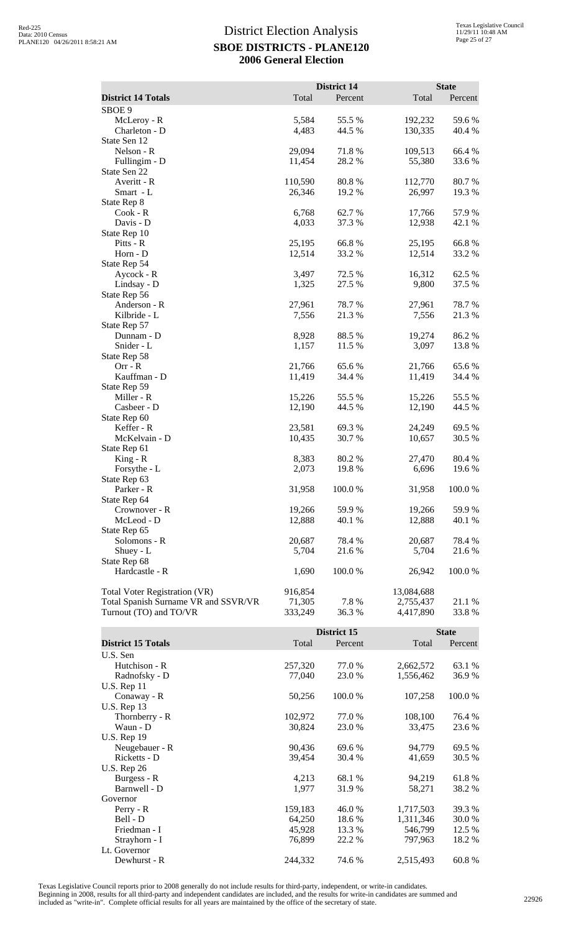|                                      |         | <b>District 14</b> |            | <b>State</b> |
|--------------------------------------|---------|--------------------|------------|--------------|
| <b>District 14 Totals</b>            | Total   | Percent            | Total      | Percent      |
| SBOE <sub>9</sub>                    |         |                    |            |              |
| McLeroy - R                          | 5,584   | 55.5 %             | 192,232    | 59.6%        |
| Charleton - D                        | 4,483   | 44.5 %             | 130,335    | 40.4 %       |
| State Sen 12                         |         |                    |            |              |
| Nelson - R                           | 29,094  | 71.8%              | 109,513    | 66.4 %       |
| Fullingim - D                        | 11,454  | 28.2%              | 55,380     | 33.6%        |
| State Sen 22                         |         |                    |            |              |
| Averitt - R                          | 110,590 | 80.8%              | 112,770    | 80.7%        |
| Smart - L                            | 26,346  | 19.2 %             | 26,997     | 19.3 %       |
| State Rep 8                          |         |                    |            |              |
| Cook - R                             | 6,768   | 62.7 %             | 17,766     | 57.9%        |
| Davis - D                            | 4,033   | 37.3 %             | 12,938     | 42.1 %       |
| State Rep 10                         |         |                    |            |              |
| Pitts - R                            | 25,195  | 66.8%              | 25,195     | 66.8%        |
| Horn - D                             | 12,514  | 33.2 %             | 12,514     | 33.2 %       |
| State Rep 54                         |         |                    |            |              |
| Aycock - R                           | 3,497   | 72.5 %             | 16,312     | 62.5 %       |
| Lindsay - D                          | 1,325   | 27.5 %             | 9,800      | 37.5 %       |
| State Rep 56                         |         |                    |            |              |
| Anderson - R                         | 27,961  | 78.7%              | 27,961     | 78.7%        |
| Kilbride - L                         | 7,556   | 21.3%              | 7,556      | 21.3%        |
| State Rep 57                         |         |                    |            |              |
| Dunnam - D                           | 8,928   | 88.5%              | 19,274     | 86.2%        |
| Snider - L                           | 1,157   | 11.5 %             | 3,097      | 13.8 %       |
| State Rep 58                         |         |                    |            |              |
| $Orr - R$                            | 21,766  | 65.6 %             | 21,766     | 65.6%        |
| Kauffman - D                         | 11,419  | 34.4 %             | 11,419     | 34.4 %       |
| State Rep 59                         |         |                    |            |              |
| Miller - R                           | 15,226  | 55.5 %             | 15,226     | 55.5 %       |
| Casbeer - D                          | 12,190  | 44.5 %             | 12,190     | 44.5 %       |
| State Rep 60                         |         |                    |            |              |
| Keffer - R                           | 23,581  | 69.3%              | 24,249     | 69.5 %       |
| McKelvain - D                        | 10,435  | 30.7 %             | 10,657     | 30.5 %       |
| State Rep 61                         |         |                    |            |              |
| $King - R$                           | 8,383   | 80.2%              | 27,470     | 80.4%        |
| Forsythe - L                         | 2,073   | 19.8 %             | 6,696      | 19.6 %       |
| State Rep 63                         |         |                    |            |              |
| Parker - R                           | 31,958  | 100.0 %            | 31,958     | 100.0%       |
| State Rep 64                         |         |                    |            |              |
| Crownover - R                        | 19,266  | 59.9 %             | 19,266     | 59.9 %       |
| McLeod - D                           | 12,888  | 40.1 %             | 12,888     | 40.1 %       |
| State Rep 65                         |         |                    |            |              |
| Solomons - R                         | 20,687  | 78.4 %             | 20,687     | 78.4 %       |
| Shuey - L                            | 5,704   | 21.6 %             | 5,704      | 21.6 %       |
| State Rep 68                         |         |                    |            |              |
| Hardcastle - R                       | 1,690   | 100.0%             | 26,942     | 100.0%       |
|                                      |         |                    |            |              |
| Total Voter Registration (VR)        | 916,854 |                    | 13,084,688 |              |
| Total Spanish Surname VR and SSVR/VR | 71,305  | 7.8%               | 2,755,437  | 21.1 %       |
| Turnout (TO) and TO/VR               | 333,249 | 36.3%              | 4,417,890  | 33.8%        |
|                                      |         |                    |            |              |
|                                      |         | District 15        |            | <b>State</b> |

|                           |         | District 15 |           | <b>State</b> |  |
|---------------------------|---------|-------------|-----------|--------------|--|
| <b>District 15 Totals</b> | Total   | Percent     | Total     | Percent      |  |
| U.S. Sen                  |         |             |           |              |  |
| Hutchison - R             | 257,320 | 77.0 %      | 2,662,572 | 63.1 %       |  |
| Radnofsky - D             | 77,040  | 23.0 %      | 1,556,462 | 36.9 %       |  |
| $U.S.$ Rep 11             |         |             |           |              |  |
| Conaway - R               | 50,256  | 100.0%      | 107,258   | 100.0%       |  |
| U.S. Rep $13$             |         |             |           |              |  |
| Thornberry - R            | 102,972 | 77.0 %      | 108,100   | 76.4 %       |  |
| Waun - D                  | 30,824  | 23.0 %      | 33,475    | 23.6 %       |  |
| U.S. Rep 19               |         |             |           |              |  |
| Neugebauer - R            | 90,436  | 69.6 %      | 94,779    | 69.5 %       |  |
| Ricketts - D              | 39,454  | 30.4 %      | 41,659    | 30.5 %       |  |
| U.S. Rep 26               |         |             |           |              |  |
| Burgess - R               | 4,213   | 68.1 %      | 94,219    | 61.8%        |  |
| Barnwell - D              | 1,977   | 31.9 %      | 58,271    | 38.2 %       |  |
| Governor                  |         |             |           |              |  |
| $Perry - R$               | 159,183 | 46.0 %      | 1,717,503 | 39.3 %       |  |
| Bell - D                  | 64,250  | 18.6 %      | 1,311,346 | 30.0 %       |  |
| Friedman - I              | 45,928  | 13.3 %      | 546,799   | 12.5 %       |  |
| Strayhorn - I             | 76,899  | 22.2 %      | 797,963   | 18.2 %       |  |
| Lt. Governor              |         |             |           |              |  |
| Dewhurst - R              | 244,332 | 74.6 %      | 2,515,493 | 60.8%        |  |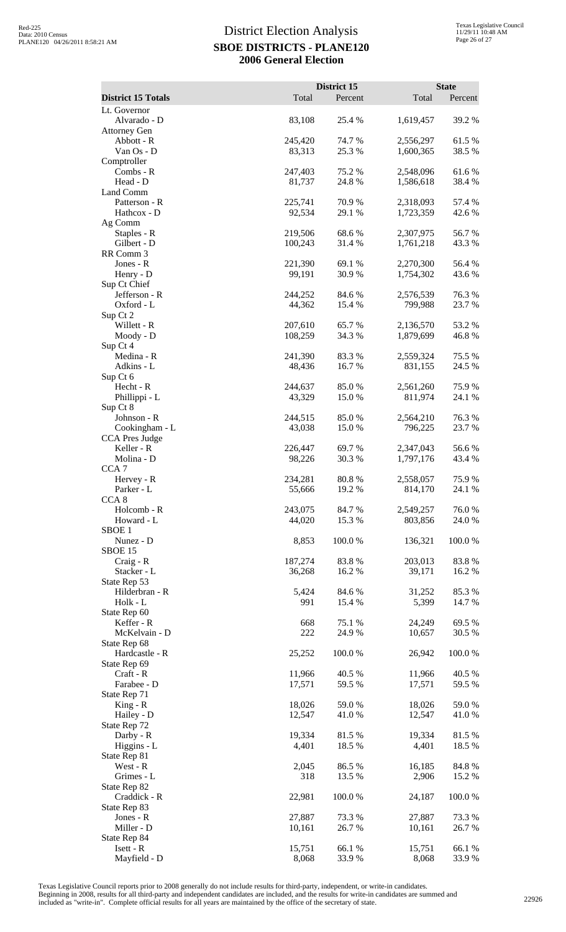|                                |                    | District 15      |                        | <b>State</b>     |
|--------------------------------|--------------------|------------------|------------------------|------------------|
| <b>District 15 Totals</b>      | Total              | Percent          | Total                  | Percent          |
| Lt. Governor<br>Alvarado - D   | 83,108             | 25.4 %           | 1,619,457              | 39.2 %           |
| <b>Attorney Gen</b>            |                    |                  |                        |                  |
| Abbott - R<br>Van Os - D       | 245,420            | 74.7%<br>25.3 %  | 2,556,297              | 61.5%<br>38.5 %  |
| Comptroller                    | 83,313             |                  | 1,600,365              |                  |
| Combs - R                      | 247,403            | 75.2 %           | 2,548,096              | 61.6%            |
| Head - D<br>Land Comm          | 81,737             | 24.8 %           | 1,586,618              | 38.4 %           |
| Patterson - R                  | 225,741            | 70.9 %           | 2,318,093              | 57.4 %           |
| Hathcox - D                    | 92,534             | 29.1 %           | 1,723,359              | 42.6 %           |
| Ag Comm<br>Staples - R         | 219,506            | 68.6%            | 2,307,975              | 56.7%            |
| Gilbert - D                    | 100,243            | 31.4 %           | 1,761,218              | 43.3 %           |
| RR Comm 3<br>Jones - R         | 221,390            | 69.1 %           | 2,270,300              | 56.4 %           |
| Henry - D                      | 99,191             | 30.9%            | 1,754,302              | 43.6 %           |
| Sup Ct Chief                   |                    |                  |                        |                  |
| Jefferson - R<br>Oxford - L    | 244,252<br>44,362  | 84.6 %<br>15.4 % | 2,576,539<br>799,988   | 76.3%<br>23.7 %  |
| Sup Ct 2                       |                    |                  |                        |                  |
| Willett - R<br>Moody - D       | 207,610<br>108,259 | 65.7 %<br>34.3 % | 2,136,570<br>1,879,699 | 53.2 %<br>46.8%  |
| Sup Ct 4                       |                    |                  |                        |                  |
| Medina - R                     | 241,390            | 83.3%            | 2,559,324              | 75.5 %           |
| Adkins - L<br>Sup Ct 6         | 48,436             | 16.7 %           | 831,155                | 24.5 %           |
| Hecht - R                      | 244,637            | 85.0%            | 2,561,260              | 75.9%            |
| Phillippi - L                  | 43,329             | 15.0 %           | 811,974                | 24.1 %           |
| Sup Ct 8<br>Johnson - R        | 244,515            | 85.0%            | 2,564,210              | 76.3%            |
| Cookingham - L                 | 43,038             | 15.0 %           | 796,225                | 23.7 %           |
| CCA Pres Judge<br>Keller - R   | 226,447            | 69.7%            | 2,347,043              | 56.6%            |
| Molina - D                     | 98,226             | 30.3 %           | 1,797,176              | 43.4 %           |
| CCA <sub>7</sub>               |                    |                  |                        |                  |
| Hervey - R<br>Parker - L       | 234,281<br>55,666  | 80.8%<br>19.2 %  | 2,558,057<br>814,170   | 75.9%<br>24.1 %  |
| CCA <sub>8</sub>               |                    |                  |                        |                  |
| Holcomb - R<br>Howard - L      | 243,075<br>44,020  | 84.7%<br>15.3 %  | 2,549,257<br>803,856   | 76.0%<br>24.0%   |
| SBOE <sub>1</sub>              |                    |                  |                        |                  |
| Nunez - D                      | 8,853              | 100.0%           | 136,321                | 100.0%           |
| <b>SBOE 15</b><br>Craig - R    | 187,274            | 83.8%            | 203,013                | 83.8%            |
| Stacker - L                    | 36,268             | 16.2 %           | 39,171                 | 16.2%            |
| State Rep 53<br>Hilderbran - R | 5,424              | 84.6 %           | 31,252                 | 85.3%            |
| Holk - L                       | 991                | 15.4 %           | 5,399                  | 14.7 %           |
| State Rep 60                   |                    |                  |                        |                  |
| Keffer - R<br>McKelvain - D    | 668<br>222         | 75.1 %<br>24.9 % | 24,249<br>10,657       | 69.5 %<br>30.5 % |
| State Rep 68                   |                    |                  |                        |                  |
| Hardcastle - R<br>State Rep 69 | 25,252             | 100.0%           | 26,942                 | 100.0%           |
| Craft - R                      | 11,966             | 40.5 %           | 11,966                 | 40.5 %           |
| Farabee - D                    | 17,571             | 59.5 %           | 17,571                 | 59.5 %           |
| State Rep 71<br>$King - R$     | 18,026             | 59.0%            | 18,026                 | 59.0%            |
| Hailey - D                     | 12,547             | 41.0%            | 12,547                 | 41.0%            |
| State Rep 72<br>Darby - R      | 19,334             | 81.5%            | 19,334                 | 81.5 %           |
| Higgins - L                    | 4,401              | 18.5 %           | 4,401                  | 18.5 %           |
| State Rep 81                   |                    |                  |                        |                  |
| West - R<br>Grimes - L         | 2,045<br>318       | 86.5 %<br>13.5 % | 16,185<br>2,906        | 84.8%<br>15.2 %  |
| State Rep 82                   |                    |                  |                        |                  |
| Craddick - R<br>State Rep 83   | 22,981             | 100.0%           | 24,187                 | 100.0%           |
| Jones - R                      | 27,887             | 73.3 %           | 27,887                 | 73.3 %           |
| Miller - D                     | 10,161             | 26.7%            | 10,161                 | 26.7 %           |
| State Rep 84<br>Isett - R      | 15,751             | 66.1 %           | 15,751                 | 66.1%            |
| Mayfield - D                   | 8,068              | 33.9%            | 8,068                  | 33.9%            |

Texas Legislative Council reports prior to 2008 generally do not include results for third-party, independent, or write-in candidates.